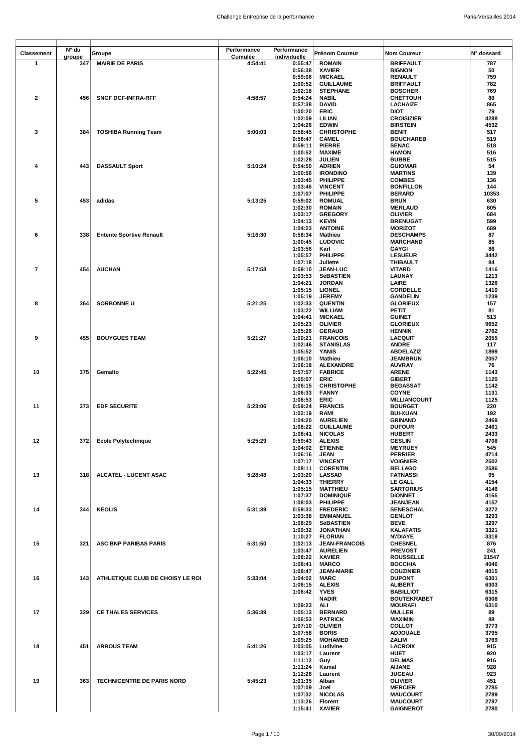| Classement   | N° du         | Groupe                            | Performance        | Performance             | <b>Prénom Coureur</b>                   | <b>Nom Coureur</b>                 | N° dossard   |
|--------------|---------------|-----------------------------------|--------------------|-------------------------|-----------------------------------------|------------------------------------|--------------|
| $\mathbf{1}$ | groupe<br>347 | <b>MAIRIE DE PARIS</b>            | Cumulée<br>4:54:41 | individuelle<br>0:55:47 | <b>ROMAIN</b>                           | <b>BRIFFAULT</b>                   | 787          |
|              |               |                                   |                    | 0:56:38                 | <b>XAVIER</b>                           | <b>BIGNON</b>                      | 50           |
|              |               |                                   |                    | 0:59:06                 | <b>MICKAEL</b>                          | <b>RENAULT</b>                     | 759          |
|              |               |                                   |                    | 1:00:52                 | <b>GUILLAUME</b>                        | <b>BRIFFAULT</b>                   | 782          |
|              |               |                                   |                    | 1:02:18                 | <b>STEPHANE</b>                         | <b>BOSCHER</b>                     | 769          |
| $\mathbf{2}$ | 456           | <b>SNCF DCF-INFRA-RFF</b>         | 4:58:57            | 0:54:24<br>0:57:38      | <b>NABIL</b><br><b>DAVID</b>            | <b>CHETTOUH</b><br><b>LACHAIZE</b> | 80<br>865    |
|              |               |                                   |                    | 1:00:20                 | ERIC                                    | <b>DIOT</b>                        | 79           |
|              |               |                                   |                    | 1:02:09                 | LILIAN                                  | <b>CROISIZIER</b>                  | 4288         |
|              |               |                                   |                    | 1:04:26                 | <b>EDWIN</b>                            | <b>BIRSTEIN</b>                    | 4532         |
| 3            | 384           | <b>TOSHIBA Running Team</b>       | 5:00:03            | 0:58:45                 | <b>CHRISTOPHE</b>                       | <b>BENIT</b>                       | 517          |
|              |               |                                   |                    | 0:58:47<br>0:59:11      | <b>CAMEL</b><br><b>PIERRE</b>           | <b>BOUCHAREB</b><br><b>SENAC</b>   | 519<br>518   |
|              |               |                                   |                    | 1:00:52                 | <b>MAXIME</b>                           | <b>HAMON</b>                       | 516          |
|              |               |                                   |                    | 1:02:28                 | JULIEN                                  | <b>BUBBE</b>                       | 515          |
| 4            | 443           | <b>DASSAULT Sport</b>             | 5:10:24            | 0:54:50                 | <b>ADRIEN</b>                           | <b>GUIOMAR</b>                     | 54           |
|              |               |                                   |                    | 1:00:56                 | <b>IRONDINO</b><br>PHILIPPE             | <b>MARTINS</b><br><b>COMBES</b>    | 139<br>136   |
|              |               |                                   |                    | 1:03:45<br>1:03:46      | <b>VINCENT</b>                          | <b>BONFILLON</b>                   | 144          |
|              |               |                                   |                    | 1:07:07                 | PHILIPPE                                | <b>BERARD</b>                      | 10353        |
| 5            | 453           | adidas                            | 5:13:25            | 0:59:02                 | <b>ROMUAL</b>                           | <b>BRUN</b>                        | 630          |
|              |               |                                   |                    | 1:02:30                 | <b>ROMAIN</b>                           | <b>MERLAUD</b>                     | 605          |
|              |               |                                   |                    | 1:03:17<br>1:04:13      | <b>GREGORY</b><br><b>KEVIN</b>          | <b>OLIVIER</b><br><b>BRENUGAT</b>  | 684<br>599   |
|              |               |                                   |                    | 1:04:23                 | <b>ANTOINE</b>                          | <b>MORIZOT</b>                     | 689          |
| 6            | 338           | <b>Entente Sportive Renault</b>   | 5:16:30            | 0:58:34                 | Mathieu                                 | <b>DESCHAMPS</b>                   | 87           |
|              |               |                                   |                    | 1:00:45                 | <b>LUDOVIC</b>                          | <b>MARCHAND</b>                    | 85           |
|              |               |                                   |                    | 1:03:56                 | Karl                                    | <b>GAYGI</b>                       | 86<br>3442   |
|              |               |                                   |                    | 1:05:57<br>1:07:18      | <b>PHILIPPE</b><br>Juliette             | <b>LESUEUR</b><br><b>THIBAULT</b>  | 84           |
| 7            | 454           | <b>AUCHAN</b>                     | 5:17:58            | 0:59:10                 | <b>JEAN-LUC</b>                         | <b>VITARD</b>                      | 1416         |
|              |               |                                   |                    | 1:03:53                 | SéBASTIEN                               | LAUNAY                             | 1213         |
|              |               |                                   |                    | 1:04:21                 | <b>JORDAN</b>                           | LAIRE                              | 1326         |
|              |               |                                   |                    | 1:05:15<br>1:05:19      | <b>LIONEL</b><br><b>JEREMY</b>          | <b>CORDELLE</b><br><b>GANDELIN</b> | 1410<br>1239 |
| 8            | 364           | <b>SORBONNE U</b>                 | 5:21:25            | 1:02:33                 | <b>QUENTIN</b>                          | <b>GLORIEUX</b>                    | 157          |
|              |               |                                   |                    | 1:03:22                 | <b>WILLIAM</b>                          | PETIT                              | 81           |
|              |               |                                   |                    | 1:04:41                 | <b>MICKAEL</b>                          | <b>GUINET</b>                      | 513          |
|              |               |                                   |                    | 1:05:23                 | <b>OLIVIER</b>                          | <b>GLORIEUX</b>                    | 9652<br>2762 |
| 9            | 455           | <b>BOUYGUES TEAM</b>              | 5:21:27            | 1:05:26<br>1:00:21      | <b>GERAUD</b><br><b>FRANCOIS</b>        | <b>HENNIN</b><br>LACQUIT           | 2055         |
|              |               |                                   |                    | 1:02:46                 | <b>STANISLAS</b>                        | <b>ANDRE</b>                       | 117          |
|              |               |                                   |                    | 1:05:52                 | YANIS                                   | <b>ABDELAZIZ</b>                   | 1899         |
|              |               |                                   |                    | 1:06:10                 | Mathieu                                 | <b>JEAMBRUN</b>                    | 2057         |
| 10           | 375           | Gemalto                           | 5:22:45            | 1:06:18<br>0:57:57      | <b>ALEXANDRE</b><br><b>FABRICE</b>      | <b>AUVRAY</b><br><b>ARENE</b>      | 76<br>1143   |
|              |               |                                   |                    | 1:05:07                 | ERIC                                    | <b>GIBERT</b>                      | 1120         |
|              |               |                                   |                    | 1:06:15                 | <b>CHRISTOPHE</b>                       | <b>BEGASSAT</b>                    | 1142         |
|              |               |                                   |                    | 1:06:33                 | <b>FANNY</b>                            | <b>COYNE</b>                       | 1131         |
| 11           | 373           | <b>EDF SECURITE</b>               | 5:23:06            | 1:06:53                 | <b>ERIC</b>                             | <b>MILLIANCOURT</b>                | 1125<br>220  |
|              |               |                                   |                    | 0:59:24<br>1:02:19      | <b>FRANCIS</b><br>RAMI                  | <b>BOURGET</b><br><b>BUI-XUAN</b>  | 192          |
|              |               |                                   |                    | 1:04:20                 | <b>AURELIEN</b>                         | <b>GRINAND</b>                     | 2469         |
|              |               |                                   |                    | 1:08:22                 | <b>GUILLAUME</b>                        | <b>DUFOUR</b>                      | 2461         |
|              |               |                                   |                    | 1:08:41                 | <b>NICOLAS</b>                          | <b>HUBERT</b>                      | 2433         |
| 12           |               | 372 Ecole Polytechnique           | 5:25:29            | 0:59:43<br>1:04:02      | <b>ALEXIS</b><br><b>ETIENNE</b>         | <b>GESLIN</b><br><b>MEYRUEY</b>    | 4708<br>545  |
|              |               |                                   |                    | 1:06:16                 | JEAN                                    | <b>PERRIER</b>                     | 4714         |
|              |               |                                   |                    | 1:07:17                 | <b>VINCENT</b>                          | <b>VOIGNIER</b>                    | 2502         |
|              |               |                                   |                    | 1:08:11                 | <b>CORENTIN</b>                         | <b>BELLéGO</b>                     | 2586         |
| 13           | 318           | ALCATEL - LUCENT ASAC             | 5:28:48            | 1:03:20<br>1:04:33      | LASSAD<br><b>THIERRY</b>                | <b>FATNASSI</b><br>LE GALL         | 95<br>4154   |
|              |               |                                   |                    | 1:05:15                 | <b>MATTHIEU</b>                         | <b>SARTORIUS</b>                   | 4146         |
|              |               |                                   |                    | 1:07:37                 | <b>DOMINIQUE</b>                        | <b>DIONNET</b>                     | 4165         |
|              |               |                                   |                    | 1:08:03                 | PHILIPPE                                | <b>JEANJEAN</b>                    | 4157         |
| 14           | 344           | <b>KEOLIS</b>                     | 5:31:39            | 0:59:33<br>1:03:38      | <b>FREDERIC</b><br><b>EMMANUEL</b>      | <b>SENESCHAL</b><br><b>GENLOT</b>  | 3272<br>3293 |
|              |               |                                   |                    | 1:08:29                 | <b>SéBASTIEN</b>                        | <b>BEVE</b>                        | 3297         |
|              |               |                                   |                    | 1:09:32                 | <b>JONATHAN</b>                         | <b>KALAFATIS</b>                   | 3321         |
|              |               |                                   |                    | 1:10:27                 | <b>FLORIAN</b>                          | <b>NVDIAYE</b>                     | 3318         |
| 15           | 321           | ASC BNP PARIBAS PARIS             | 5:31:50            | 1:02:13<br>1:03:47      | <b>JEAN-FRANCOIS</b><br><b>AURELIEN</b> | <b>CHESNEL</b><br><b>PREVOST</b>   | 876<br>241   |
|              |               |                                   |                    | 1:08:22                 | <b>XAVIER</b>                           | <b>ROUSSELLE</b>                   | 21547        |
|              |               |                                   |                    | 1:08:41                 | <b>MARCO</b>                            | <b>BOCCHIA</b>                     | 4046         |
|              |               |                                   |                    | 1:08:47                 | <b>JEAN-MARIE</b>                       | <b>COUZINIER</b>                   | 4015         |
| 16           | 143           | ATHLETIQUE CLUB DE CHOISY LE ROI  | 5:33:04            | 1:04:02<br>1:06:15      | <b>MARC</b><br><b>ALEXIS</b>            | <b>DUPONT</b><br><b>ALIBERT</b>    | 6301<br>6303 |
|              |               |                                   |                    | 1:06:42                 | <b>YVES</b>                             | <b>BABILLIOT</b>                   | 6315         |
|              |               |                                   |                    |                         | <b>NADIR</b>                            | <b>BOUTEKRABET</b>                 | 6308         |
|              |               |                                   |                    | 1:09:23                 | ALI                                     | <b>MOURAFI</b>                     | 6310         |
| 17           | 329           | <b>CE THALES SERVICES</b>         | 5:36:39            | 1:05:13<br>1:06:53      | <b>BERNARD</b><br><b>PATRICK</b>        | <b>MULLER</b><br><b>MAXIMIN</b>    | 89<br>88     |
|              |               |                                   |                    | 1:07:10                 | <b>OLIVIER</b>                          | <b>COLLOT</b>                      | 3773         |
|              |               |                                   |                    | 1:07:58                 | <b>BORIS</b>                            | <b>ADJOUALE</b>                    | 3795         |
|              |               |                                   |                    | 1:09:25                 | <b>MOHAMED</b>                          | <b>ZALIM</b>                       | 3769         |
| 18           | 451           | <b>ARROUS TEAM</b>                | 5:41:26            | 1:03:05                 | Ludivine                                | <b>LACROIX</b>                     | 915          |
|              |               |                                   |                    | 1:03:17<br>1:11:12      | Laurent<br>Guy                          | HUET<br><b>DELMAS</b>              | 920<br>916   |
|              |               |                                   |                    | 1:11:24                 | Kamal                                   | <b>AIJANE</b>                      | 928          |
|              |               |                                   |                    | 1:12:28                 | Laurent                                 | <b>JUGEAU</b>                      | 923          |
| 19           | 363           | <b>TECHNICENTRE DE PARIS NORD</b> | 5:45:23            | 1:01:35                 | Alban                                   | <b>OLIVIER</b>                     | 451          |
|              |               |                                   |                    | 1:07:09<br>1:07:32      | Joel<br><b>NICOLAS</b>                  | <b>MERCIER</b><br><b>MAUCOURT</b>  | 2785<br>2789 |
|              |               |                                   |                    | 1:13:26                 | <b>Florent</b>                          | <b>MAUCOURT</b>                    | 2787         |
|              |               |                                   |                    | 1:15:41                 | <b>XAVIER</b>                           | <b>GAIGNEROT</b>                   | 2780         |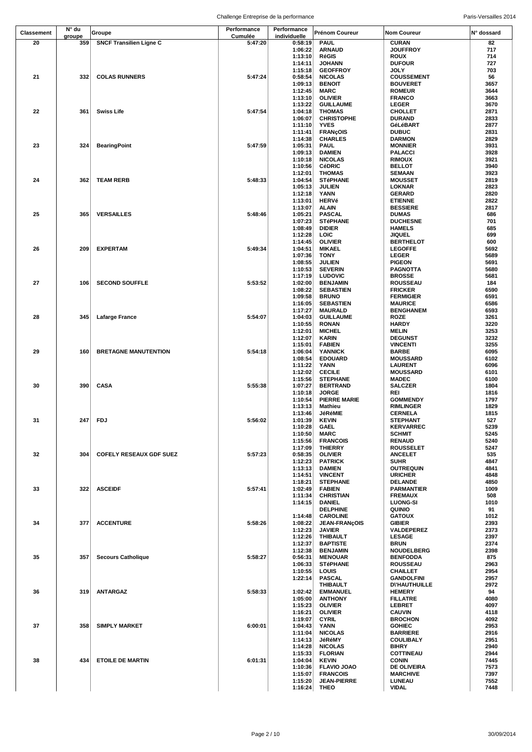| <b>Classement</b> | N° du         | Groupe                         | Performance<br>Cumulée | Performance<br>individuelle | Prénom Coureur                     | <b>Nom Coureur</b>                 | N° dossard   |
|-------------------|---------------|--------------------------------|------------------------|-----------------------------|------------------------------------|------------------------------------|--------------|
| 20                | groupe<br>359 | <b>SNCF Transilien Ligne C</b> | 5:47:20                | 0:58:19                     | <b>PAUL</b>                        | <b>CURAN</b>                       | 82           |
|                   |               |                                |                        | 1:06:22                     | <b>ARNAUD</b>                      | <b>JOUFFROY</b>                    | 717          |
|                   |               |                                |                        | 1:13:10                     | <b>RéGIS</b>                       | ROUX                               | 714          |
|                   |               |                                |                        | 1:14:11                     | <b>JOHANN</b>                      | <b>DUFOUR</b>                      | 727          |
|                   |               |                                |                        | 1:15:18                     | <b>GEOFFROY</b>                    | <b>JOLY</b>                        | 703          |
| 21                | 332           | <b>COLAS RUNNERS</b>           | 5:47:24                | 0:58:54                     | <b>NICOLAS</b>                     | <b>COUSSEMENT</b>                  | 56           |
|                   |               |                                |                        | 1:09:13                     | <b>BENOIT</b>                      | <b>BOUVERET</b>                    | 3657         |
|                   |               |                                |                        | 1:12:45                     | <b>MARC</b>                        | <b>ROMEUR</b>                      | 3644         |
|                   |               |                                |                        | 1:13:10<br>1:13:22          | <b>OLIVIER</b><br><b>GUILLAUME</b> | <b>FRANCO</b><br><b>LEGER</b>      | 3663<br>3670 |
| 22                | 361           | <b>Swiss Life</b>              | 5:47:54                | 1:04:18                     | <b>THOMAS</b>                      | <b>CHOLLET</b>                     | 2871         |
|                   |               |                                |                        | 1:06:07                     | <b>CHRISTOPHE</b>                  | <b>DURAND</b>                      | 2833         |
|                   |               |                                |                        | 1:11:10                     | <b>YVES</b>                        | GéLéBART                           | 2877         |
|                   |               |                                |                        | 1:11:41                     | <b>FRANCOIS</b>                    | <b>DUBUC</b>                       | 2831         |
|                   |               |                                |                        | 1:14:38                     | <b>CHARLES</b>                     | <b>DARMON</b>                      | 2829         |
| 23                | 324           | <b>BearingPoint</b>            | 5:47:59                | 1:05:31                     | <b>PAUL</b>                        | <b>MONNIER</b>                     | 3931         |
|                   |               |                                |                        | 1:09:13                     | <b>DAMIEN</b>                      | PALACCI                            | 3928         |
|                   |               |                                |                        | 1:10:18                     | <b>NICOLAS</b>                     | <b>RIMOUX</b>                      | 3921         |
|                   |               |                                |                        | 1:10:56<br>1:12:01          | <b>CéDRIC</b><br><b>THOMAS</b>     | <b>BELLOT</b><br><b>SEMAAN</b>     | 3940<br>3923 |
| 24                | 362           | <b>TEAM RERB</b>               | 5:48:33                | 1:04:54                     | <b>STéPHANE</b>                    | <b>MOUSSET</b>                     | 2819         |
|                   |               |                                |                        | 1:05:13                     | <b>JULIEN</b>                      | LOKNAR                             | 2823         |
|                   |               |                                |                        | 1:12:18                     | YANN                               | <b>GERARD</b>                      | 2820         |
|                   |               |                                |                        | 1:13:01                     | <b>HERVé</b>                       | <b>ETIENNE</b>                     | 2822         |
|                   |               |                                |                        | 1:13:07                     | <b>ALAIN</b>                       | <b>BESSIERE</b>                    | 2817         |
| 25                | 365           | <b>VERSAILLES</b>              | 5:48:46                | 1:05:21                     | <b>PASCAL</b>                      | <b>DUMAS</b>                       | 686          |
|                   |               |                                |                        | 1:07:23                     | <b>STéPHANE</b>                    | <b>DUCHESNE</b>                    | 701          |
|                   |               |                                |                        | 1:08:49<br>1:12:28          | <b>DIDIER</b><br>LOïC              | <b>HAMELS</b><br><b>JIQUEL</b>     | 685          |
|                   |               |                                |                        | 1:14:45                     | <b>OLIVIER</b>                     | <b>BERTHELOT</b>                   | 699<br>600   |
| 26                | 209           | <b>EXPERTAM</b>                | 5:49:34                | 1:04:51                     | <b>MIKAEL</b>                      | <b>LEGOFFE</b>                     | 5692         |
|                   |               |                                |                        | 1:07:36                     | <b>TONY</b>                        | <b>LEGER</b>                       | 5689         |
|                   |               |                                |                        | 1:08:55                     | <b>JULIEN</b>                      | <b>PIGEON</b>                      | 5691         |
|                   |               |                                |                        | 1:10:53                     | <b>SEVERIN</b>                     | PAGNOTTA                           | 5680         |
|                   |               |                                |                        | 1:17:19                     | <b>LUDOVIC</b>                     | <b>BROSSE</b>                      | 5681         |
| 27                | 106           | <b>SECOND SOUFFLE</b>          | 5:53:52                | 1:02:00                     | <b>BENJAMIN</b>                    | <b>ROUSSEAU</b>                    | 184          |
|                   |               |                                |                        | 1:08:22                     | <b>SEBASTIEN</b>                   | <b>FRICKER</b>                     | 6590         |
|                   |               |                                |                        | 1:09:58                     | <b>BRUNO</b>                       | <b>FERMIGIER</b>                   | 6591         |
|                   |               |                                |                        | 1:16:05<br>1:17:27          | <b>SEBASTIEN</b><br><b>MAURALD</b> | <b>MAURICE</b><br><b>BENGHANEM</b> | 6586<br>6593 |
| 28                | 345           | Lafarge France                 | 5:54:07                | 1:04:03                     | <b>GUILLAUME</b>                   | ROZE                               | 3261         |
|                   |               |                                |                        | 1:10:55                     | <b>RONAN</b>                       | HARDY                              | 3220         |
|                   |               |                                |                        | 1:12:01                     | <b>MICHEL</b>                      | MELIN                              | 3253         |
|                   |               |                                |                        | 1:12:07                     | <b>KARIN</b>                       | <b>DEGUNST</b>                     | 3232         |
|                   |               |                                |                        | 1:15:01                     | <b>FABIEN</b>                      | <b>VINCENTI</b>                    | 3255         |
| 29                | 160           | <b>BRETAGNE MANUTENTION</b>    | 5:54:18                | 1:06:04                     | <b>YANNICK</b>                     | <b>BARBE</b>                       | 6095         |
|                   |               |                                |                        | 1:08:54                     | <b>EDOUARD</b>                     | <b>MOUSSARD</b>                    | 6102         |
|                   |               |                                |                        | 1:11:22                     | YANN                               | <b>LAURENT</b>                     | 6096         |
|                   |               |                                |                        | 1:12:02<br>1:15:56          | <b>CECILE</b><br><b>STEPHANE</b>   | <b>MOUSSARD</b><br><b>MADEC</b>    | 6101<br>6100 |
| 30                | 390           | <b>CASA</b>                    | 5:55:38                | 1:07:27                     | <b>BERTRAND</b>                    | <b>SALCZER</b>                     | 1804         |
|                   |               |                                |                        | 1:10:18                     | <b>JORGE</b>                       | REI                                | 1816         |
|                   |               |                                |                        | 1:10:54                     | <b>PIERRE MARIE</b>                | <b>GOMMENDY</b>                    | 1797         |
|                   |               |                                |                        | 1:13:13                     | <b>Mathieu</b>                     | <b>RIMLINGER</b>                   | 1829         |
|                   |               |                                |                        | 1:13:46                     | JéRéMIE                            | <b>CERNELA</b>                     | 1815         |
| 31                |               | 247 FDJ                        | 5:56:02                | 1:01:39                     | <b>KEVIN</b>                       | <b>STEPHANT</b>                    | 527          |
|                   |               |                                |                        | 1:10:28                     | <b>GAEL</b>                        | <b>KERVARREC</b>                   | 5239         |
|                   |               |                                |                        | 1:10:50<br>1:15:56          | <b>MARC</b><br><b>FRANCOIS</b>     | <b>SCHMIT</b><br><b>RENAUD</b>     | 5245<br>5240 |
|                   |               |                                |                        | 1:17:09                     | <b>THIERRY</b>                     | <b>ROUSSELET</b>                   | 5247         |
| 32                | 304           | <b>COFELY RESEAUX GDF SUEZ</b> | 5:57:23                | 0:58:35                     | <b>OLIVIER</b>                     | <b>ANCELET</b>                     | 535          |
|                   |               |                                |                        | 1:12:23                     | <b>PATRICK</b>                     | SUHR                               | 4847         |
|                   |               |                                |                        | 1:13:13                     | <b>DAMIEN</b>                      | <b>OUTREQUIN</b>                   | 4841         |
|                   |               |                                |                        | 1:14:51                     | <b>VINCENT</b>                     | <b>URICHER</b>                     | 4848         |
|                   |               |                                |                        | 1:18:21                     | <b>STEPHANE</b>                    | <b>DELANDE</b>                     | 4850         |
| 33                | 322           | <b>ASCEIDF</b>                 | 5:57:41                | 1:02:49<br>1:11:34          | <b>FABIEN</b><br><b>CHRISTIAN</b>  | PARMANTIER<br><b>FREMAUX</b>       | 1009<br>508  |
|                   |               |                                |                        | 1:14:15                     | DANIEL                             | <b>LUONG-SI</b>                    | 1010         |
|                   |               |                                |                        |                             | <b>DELPHINE</b>                    | <b>QUINIO</b>                      | 91           |
|                   |               |                                |                        | 1:14:48                     | <b>CAROLINE</b>                    | <b>GATOUX</b>                      | 1012         |
| 34                | 377           | <b>ACCENTURE</b>               | 5:58:26                | 1:08:22                     | <b>JEAN-FRANÇOIS</b>               | <b>GIBIER</b>                      | 2393         |
|                   |               |                                |                        | 1:12:23                     | <b>JAVIER</b>                      | VALDEPEREZ                         | 2373         |
|                   |               |                                |                        | 1:12:26                     | <b>THIBAULT</b>                    | <b>LESAGE</b>                      | 2397         |
|                   |               |                                |                        | 1:12:37                     | <b>BAPTISTE</b>                    | <b>BRUN</b>                        | 2374         |
| 35                |               |                                |                        | 1:12:38                     | <b>BENJAMIN</b>                    | <b>NOUDELBERG</b>                  | 2398         |
|                   | 357           | <b>Secours Catholique</b>      | 5:58:27                | 0:56:31<br>1:06:33          | <b>MENOUAR</b><br><b>STéPHANE</b>  | <b>BENFODDA</b><br><b>ROUSSEAU</b> | 875<br>2963  |
|                   |               |                                |                        | 1:10:55                     | LOUIS                              | <b>CHAILLET</b>                    | 2954         |
|                   |               |                                |                        | 1:22:14                     | <b>PASCAL</b>                      | <b>GANDOLFINI</b>                  | 2957         |
|                   |               |                                |                        |                             | <b>THIBAULT</b>                    | <b>DI'HAUTHUILLE</b>               | 2972         |
| 36                | 319           | <b>ANTARGAZ</b>                | 5:58:33                | 1:02:42                     | <b>EMMANUEL</b>                    | <b>HEMERY</b>                      | 94           |
|                   |               |                                |                        | 1:05:00                     | <b>ANTHONY</b>                     | <b>FILLATRE</b>                    | 4080         |
|                   |               |                                |                        | 1:15:23                     | <b>OLIVIER</b>                     | <b>LEBRET</b>                      | 4097         |
|                   |               |                                |                        | 1:16:21                     | <b>OLIVIER</b>                     | <b>CAUVIN</b>                      | 4118         |
| 37                | 358           | <b>SIMPLY MARKET</b>           | 6:00:01                | 1:19:07<br>1:04:43          | <b>CYRIL</b><br><b>YANN</b>        | <b>BROCHON</b><br><b>GOHIEC</b>    | 4092<br>2953 |
|                   |               |                                |                        | 1:11:04                     | <b>NICOLAS</b>                     | <b>BARRIERE</b>                    | 2916         |
|                   |               |                                |                        | 1:14:13                     | JéRéMY                             | <b>COULIBALY</b>                   | 2951         |
|                   |               |                                |                        | 1:14:28                     | <b>NICOLAS</b>                     | BIHRY                              | 2940         |
|                   |               |                                |                        | 1:15:33                     | <b>FLORIAN</b>                     | <b>COTTINEAU</b>                   | 2944         |
| 38                | 434           | <b>ETOILE DE MARTIN</b>        | 6:01:31                | 1:04:04                     | <b>KEVIN</b>                       | <b>CONIN</b>                       | 7445         |
|                   |               |                                |                        | 1:10:36                     | <b>FLAVIO JOAO</b>                 | <b>DE OLIVEIRA</b>                 | 7573         |
|                   |               |                                |                        | 1:15:07                     | <b>FRANCOIS</b>                    | <b>MARCHIVE</b>                    | 7397         |
|                   |               |                                |                        | 1:15:20<br>1:16:24          | <b>JEAN-PIERRE</b>                 | LUNEAU<br><b>VIDAL</b>             | 7552<br>7448 |
|                   |               |                                |                        |                             | THEO                               |                                    |              |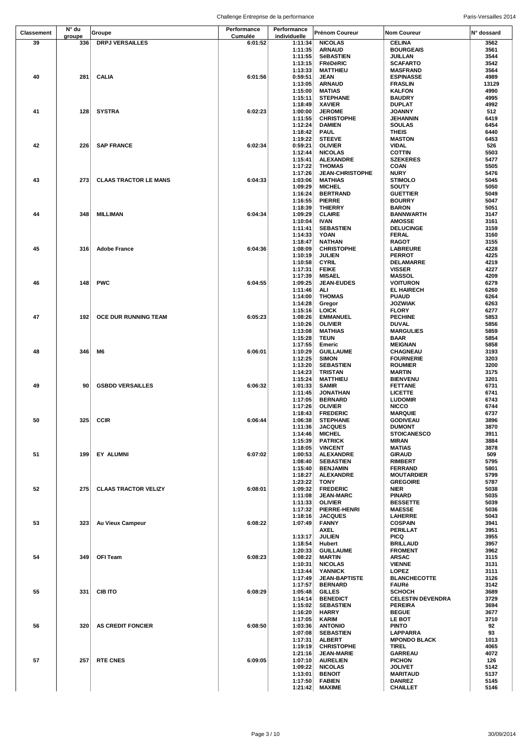|                   | N° du  |                              | Performance | Performance        |                                     |                                    |              |
|-------------------|--------|------------------------------|-------------|--------------------|-------------------------------------|------------------------------------|--------------|
| <b>Classement</b> | groupe | Groupe                       | Cumulée     | individuelle       | <b>Prénom Coureur</b>               | <b>Nom Coureur</b>                 | N° dossard   |
| 39                | 336    | <b>DRPJ VERSAILLES</b>       | 6:01:52     | 1:11:34            | <b>NICOLAS</b>                      | <b>CELINA</b><br><b>BOURGEAIS</b>  | 3562<br>3561 |
|                   |        |                              |             | 1:11:35<br>1:11:55 | <b>ARNAUD</b><br><b>SéBASTIEN</b>   | JUILLAN                            | 3544         |
|                   |        |                              |             | 1:13:15            | <b>FRéDéRIC</b>                     | <b>SCAFARTO</b>                    | 3542         |
|                   |        |                              |             | 1:13:33            | <b>MATTHIEU</b>                     | <b>MASFRAND</b>                    | 3564         |
| 40                | 281    | <b>CALIA</b>                 | 6:01:56     | 0:59:51            | JEAN                                | <b>ESPINASSE</b>                   | 4989         |
|                   |        |                              |             | 1:13:05            | <b>ARNAUD</b>                       | <b>FRASLIN</b>                     | 13129        |
|                   |        |                              |             | 1:15:00<br>1:15:11 | <b>MATIAS</b><br><b>STEPHANE</b>    | <b>KALFON</b><br><b>BAUDRY</b>     | 4990<br>4995 |
|                   |        |                              |             | 1:18:49            | <b>XAVIER</b>                       | <b>DUPLAT</b>                      | 4992         |
| 41                | 128    | SYSTRA                       | 6:02:23     | 1:00:00            | <b>JEROME</b>                       | <b>JOANNY</b>                      | 512          |
|                   |        |                              |             | 1:11:55            | <b>CHRISTOPHE</b>                   | JEHANNIN                           | 6419         |
|                   |        |                              |             | 1:12:24            | <b>DAMIEN</b>                       | <b>SOULAS</b>                      | 6454         |
|                   |        |                              |             | 1:18:42            | <b>PAUL</b>                         | <b>THEIS</b>                       | 6440         |
|                   |        |                              |             | 1:19:22            | <b>STEEVE</b>                       | <b>MASTON</b>                      | 6453         |
| 42                | 226    | <b>SAP FRANCE</b>            | 6:02:34     | 0:59:21<br>1:12:44 | <b>OLIVIER</b><br><b>NICOLAS</b>    | <b>VIDAL</b><br><b>COTTIN</b>      | 526<br>5503  |
|                   |        |                              |             | 1:15:41            | <b>ALEXANDRE</b>                    | <b>SZEKERES</b>                    | 5477         |
|                   |        |                              |             | 1:17:22            | <b>THOMAS</b>                       | <b>COAN</b>                        | 5505         |
|                   |        |                              |             | 1:17:26            | <b>JEAN-CHRISTOPHE</b>              | <b>NURY</b>                        | 5476         |
| 43                | 273    | <b>CLAAS TRACTOR LE MANS</b> | 6:04:33     | 1:03:06            | <b>MATHIAS</b>                      | <b>STIMOLO</b>                     | 5045         |
|                   |        |                              |             | 1:09:29            | <b>MICHEL</b>                       | SOUTY                              | 5050         |
|                   |        |                              |             | 1:16:24<br>1:16:55 | <b>BERTRAND</b><br><b>PIERRE</b>    | <b>GUETTIER</b><br><b>BOURRY</b>   | 5049<br>5047 |
|                   |        |                              |             | 1:18:39            | <b>THIERRY</b>                      | <b>BARON</b>                       | 5051         |
| 44                | 348    | MILLIMAN                     | 6:04:34     | 1:09:29            | <b>CLAIRE</b>                       | <b>BANNWARTH</b>                   | 3147         |
|                   |        |                              |             | 1:10:04            | <b>IVAN</b>                         | <b>AMOSSE</b>                      | 3161         |
|                   |        |                              |             | 1:11:41            | <b>SEBASTIEN</b>                    | <b>DELUCINGE</b>                   | 3159         |
|                   |        |                              |             | 1:14:33            | <b>YOAN</b>                         | <b>FERAL</b>                       | 3160         |
|                   |        |                              |             | 1:18:47            | <b>NATHAN</b>                       | <b>RAGOT</b>                       | 3155         |
| 45                | 316    | <b>Adobe France</b>          | 6:04:36     | 1:08:09<br>1:10:19 | <b>CHRISTOPHE</b><br><b>JULIEN</b>  | <b>LABREURE</b><br><b>PERROT</b>   | 4228<br>4225 |
|                   |        |                              |             | 1:10:58            | <b>CYRIL</b>                        | DELAMARRE                          | 4219         |
|                   |        |                              |             | 1:17:31            | <b>FEIKE</b>                        | <b>VISSER</b>                      | 4227         |
|                   |        |                              |             | 1:17:39            | <b>MISAEL</b>                       | <b>MASSOL</b>                      | 4209         |
| 46                | 148    | <b>PWC</b>                   | 6:04:55     | 1:09:25            | <b>JEAN-EUDES</b>                   | <b>VOITURON</b>                    | 6279         |
|                   |        |                              |             | 1:11:46            | ALI                                 | <b>EL HAIRECH</b>                  | 6260         |
|                   |        |                              |             | 1:14:00            | <b>THOMAS</b>                       | <b>PUAUD</b>                       | 6264         |
|                   |        |                              |             | 1:14:28<br>1:15:16 | Gregor<br><b>LOICK</b>              | <b>JOZWIAK</b><br><b>FLORY</b>     | 6263<br>6277 |
| 47                | 192    | OCE DUR RUNNING TEAM         | 6:05:23     | 1:08:26            | <b>EMMANUEL</b>                     | <b>PECHINE</b>                     | 5853         |
|                   |        |                              |             | 1:10:26            | <b>OLIVIER</b>                      | <b>DUVAL</b>                       | 5856         |
|                   |        |                              |             | 1:13:08            | <b>MATHIAS</b>                      | <b>MARGULIES</b>                   | 5859         |
|                   |        |                              |             | 1:15:28            | TEUN                                | BAAR                               | 5854         |
|                   |        |                              |             | 1:17:55            | Emeric                              | <b>MEIGNAN</b>                     | 5858         |
| 48                | 346    | M6                           | 6:06:01     | 1:10:29            | <b>GUILLAUME</b>                    | CHAGNEAU                           | 3193         |
|                   |        |                              |             | 1:12:25<br>1:13:20 | <b>SIMON</b><br><b>SEBASTIEN</b>    | <b>FOURNERIE</b><br><b>ROUMIER</b> | 3203<br>3200 |
|                   |        |                              |             | 1:14:23            | <b>TRISTAN</b>                      | <b>MARTIN</b>                      | 3175         |
|                   |        |                              |             | 1:15:24            | <b>MATTHIEU</b>                     | <b>BIENVENU</b>                    | 3201         |
| 49                | 90     | <b>GSBDD VERSAILLES</b>      | 6:06:32     | 1:01:33            | <b>SAMIR</b>                        | <b>FETTANE</b>                     | 6731         |
|                   |        |                              |             | 1:11:45            | <b>JONATHAN</b>                     | <b>LICETTE</b>                     | 6741         |
|                   |        |                              |             | 1:17:05            | <b>BERNARD</b>                      | <b>LUDOMIR</b>                     | 6743         |
|                   |        |                              |             | 1:17:26            | <b>OLIVIER</b><br><b>FREDERIC</b>   | <b>NICCO</b><br><b>MARQUIE</b>     | 6744<br>6737 |
| 50                | 325    | CCIR                         | 6:06:44     | 1:18:43<br>1:06:38 | <b>STEPHANE</b>                     | <b>GODIVEAU</b>                    | 3896         |
|                   |        |                              |             | 1:11:36            | <b>JACQUES</b>                      | <b>DUMONT</b>                      | 3870         |
|                   |        |                              |             | 1:14:46            | <b>MICHEL</b>                       | <b>STOICANESCO</b>                 | 3911         |
|                   |        |                              |             | 1:15:39            | <b>PATRICK</b>                      | <b>MIRAN</b>                       | 3884         |
|                   |        |                              |             | 1:18:05            | <b>VINCENT</b>                      | MATIAS                             | 3878         |
| 51                | 199    | EY ALUMNI                    | 6:07:02     | 1:00:53            | <b>ALEXANDRE</b>                    | <b>GIRAUD</b>                      | 509<br>5795  |
|                   |        |                              |             | 1:08:40<br>1:15:40 | <b>SEBASTIEN</b><br><b>BENJAMIN</b> | <b>RIMBERT</b><br><b>FERRAND</b>   | 5801         |
|                   |        |                              |             | 1:18:27            | <b>ALEXANDRE</b>                    | <b>MOUTARDIER</b>                  | 5799         |
|                   |        |                              |             | 1:23:22            | <b>TONY</b>                         | <b>GREGOIRE</b>                    | 5787         |
| 52                | 275    | <b>CLAAS TRACTOR VELIZY</b>  | 6:08:01     | 1:09:32            | <b>FREDERIC</b>                     | <b>NIER</b>                        | 5038         |
|                   |        |                              |             | 1:11:08            | <b>JEAN-MARC</b>                    | <b>PINARD</b>                      | 5035         |
|                   |        |                              |             | 1:11:33            | <b>OLIVIER</b>                      | <b>BESSETTE</b>                    | 5039         |
|                   |        |                              |             | 1:17:32            | PIERRE-HENRI                        | <b>MAESSE</b>                      | 5036         |
| 53                | 323    | Au Vieux Campeur             | 6:08:22     | 1:18:16<br>1:07:49 | <b>JACQUES</b><br><b>FANNY</b>      | <b>LAHERRE</b><br><b>COSPAIN</b>   | 5043<br>3941 |
|                   |        |                              |             |                    | <b>AXEL</b>                         | PERILLAT                           | 3951         |
|                   |        |                              |             | 1:13:17            | <b>JULIEN</b>                       | PICQ                               | 3955         |
|                   |        |                              |             | 1:18:54            | Hubert                              | <b>BRILLAUD</b>                    | 3957         |
|                   |        |                              |             | 1:20:33            | <b>GUILLAUME</b>                    | <b>FROMENT</b>                     | 3962         |
| 54                | 349    | OFI Team                     | 6:08:23     | 1:08:22            | <b>MARTIN</b>                       | ARSAC                              | 3115         |
|                   |        |                              |             | 1:10:31<br>1:13:44 | <b>NICOLAS</b><br><b>YANNICK</b>    | <b>VIENNE</b><br><b>LOPEZ</b>      | 3131<br>3111 |
|                   |        |                              |             | 1:17:49            | <b>JEAN-BAPTISTE</b>                | <b>BLANCHECOTTE</b>                | 3126         |
|                   |        |                              |             | 1:17:57            | <b>BERNARD</b>                      | <b>FAURé</b>                       | 3142         |
| 55                | 331    | <b>CIB ITO</b>               | 6:08:29     | 1:05:48            | <b>GILLES</b>                       | <b>SCHOCH</b>                      | 3689         |
|                   |        |                              |             | 1:14:14            | <b>BENEDICT</b>                     | <b>CELESTIN DEVENDRA</b>           | 3729         |
|                   |        |                              |             | 1:15:02            | <b>SEBASTIEN</b>                    | <b>PEREIRA</b>                     | 3694         |
|                   |        |                              |             | 1:16:20            | <b>HARRY</b>                        | <b>BEGUE</b>                       | 3677         |
| 56                | 320    | <b>AS CREDIT FONCIER</b>     | 6:08:50     | 1:17:05<br>1:03:36 | <b>KARIM</b><br><b>ANTONIO</b>      | <b>LE BOT</b><br><b>PINTO</b>      | 3710<br>92   |
|                   |        |                              |             | 1:07:08            | <b>SEBASTIEN</b>                    | LAPPARRA                           | 93           |
|                   |        |                              |             | 1:17:31            | <b>ALBERT</b>                       | <b>MPONDO BLACK</b>                | 1013         |
|                   |        |                              |             | 1:19:19            | <b>CHRISTOPHE</b>                   | <b>TIREL</b>                       | 4065         |
|                   |        |                              |             | 1:21:16            | <b>JEAN-MARIE</b>                   | <b>GARREAU</b>                     | 4072         |
| 57                | 257    | <b>RTE CNES</b>              | 6:09:05     | 1:07:10            | <b>AURELIEN</b>                     | <b>PICHON</b>                      | 126          |
|                   |        |                              |             | 1:09:22            | <b>NICOLAS</b>                      | <b>JOLIVET</b>                     | 5142         |
|                   |        |                              |             | 1:13:01<br>1:17:50 | <b>BENOIT</b><br><b>FABIEN</b>      | <b>MARITAUD</b><br><b>DANREZ</b>   | 5137<br>5145 |
|                   |        |                              |             | 1:21:42            | <b>MAXIME</b>                       | <b>CHAILLET</b>                    | 5146         |
|                   |        |                              |             |                    |                                     |                                    |              |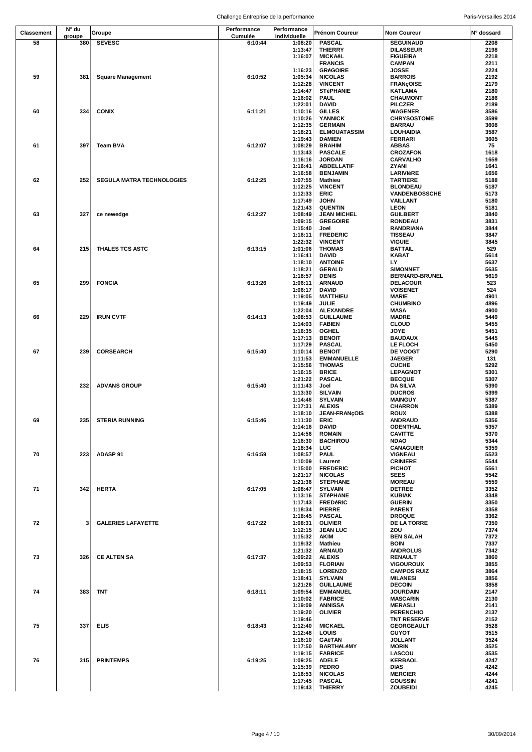|                   | N° du  |                                  | Performance | Performance  |                     |                      |            |
|-------------------|--------|----------------------------------|-------------|--------------|---------------------|----------------------|------------|
| <b>Classement</b> | groupe | Groupe                           | Cumulée     | individuelle | Prénom Coureur      | <b>Nom Coureur</b>   | N° dossard |
| 58                | 380    | <b>SEVESC</b>                    | 6:10:44     | 1:08:20      | <b>PASCAL</b>       | <b>SEGUINAUD</b>     | 2208       |
|                   |        |                                  |             | 1:13:47      | <b>THIERRY</b>      | <b>DILASSEUR</b>     | 2198       |
|                   |        |                                  |             | 1:16:07      | <b>MICKAëL</b>      | <b>FIGUEIRA</b>      | 2218       |
|                   |        |                                  |             |              | <b>FRANCIS</b>      | <b>CAMPAN</b>        | 2211       |
|                   |        |                                  |             | 1:16:23      | <b>GRéGOIRE</b>     | JOSSE                | 2224       |
| 59                | 381    | <b>Square Management</b>         | 6:10:52     | 1:05:34      | <b>NICOLAS</b>      | <b>BARROIS</b>       | 2192       |
|                   |        |                                  |             | 1:12:28      | <b>VINCENT</b>      | <b>FRANÇOISE</b>     | 2179       |
|                   |        |                                  |             | 1:14:47      | <b>STéPHANIE</b>    | KATLAMA              | 2180       |
|                   |        |                                  |             | 1:16:02      | <b>PAUL</b>         | <b>CHAUMONT</b>      | 2186       |
|                   |        |                                  |             |              |                     |                      |            |
|                   |        |                                  |             | 1:22:01      | <b>DAVID</b>        | <b>PILCZER</b>       | 2189       |
| 60                | 334    | <b>CONIX</b>                     | 6:11:21     | 1:10:16      | <b>GILLES</b>       | <b>WAGENER</b>       | 3586       |
|                   |        |                                  |             | 1:10:26      | <b>YANNICK</b>      | <b>CHRYSOSTOME</b>   | 3599       |
|                   |        |                                  |             | 1:12:35      | <b>GERMAIN</b>      | <b>BARRAU</b>        | 3608       |
|                   |        |                                  |             | 1:18:21      | <b>ELMOUATASSIM</b> | LOUHAIDIA            | 3587       |
|                   |        |                                  |             | 1:19:43      | <b>DAMIEN</b>       | <b>FERRARI</b>       | 3605       |
| 61                | 397    | Team BVA                         | 6:12:07     | 1:08:29      | <b>BRAHIM</b>       | <b>ABBAS</b>         | 75         |
|                   |        |                                  |             | 1:13:43      | <b>PASCALE</b>      | <b>CROZAFON</b>      | 1618       |
|                   |        |                                  |             | 1:16:16      | <b>JORDAN</b>       | <b>CARVALHO</b>      | 1659       |
|                   |        |                                  |             | 1:16:41      | <b>ABDELLATIF</b>   | ZYANI                | 1641       |
|                   |        |                                  |             | 1:16:58      | <b>BENJAMIN</b>     | LARIVIèRE            | 1656       |
| 62                | 252    | <b>SEGULA MATRA TECHNOLOGIES</b> | 6:12:25     | 1:07:55      | Mathieu             | <b>TARTIERE</b>      | 5188       |
|                   |        |                                  |             | 1:12:25      | <b>VINCENT</b>      | <b>BLONDEAU</b>      | 5187       |
|                   |        |                                  |             | 1:12:33      | ERIC                | <b>VANDENBOSSCHE</b> | 5173       |
|                   |        |                                  |             | 1:17:49      | JOHN                | <b>VAILLANT</b>      | 5180       |
|                   |        |                                  |             | 1:21:43      | <b>QUENTIN</b>      | LEON                 | 5181       |
| 63                | 327    | ce newedge                       | 6:12:27     | 1:08:49      | <b>JEAN MICHEL</b>  | <b>GUILBERT</b>      | 3840       |
|                   |        |                                  |             | 1:09:15      | <b>GREGOIRE</b>     | <b>RONDEAU</b>       | 3831       |
|                   |        |                                  |             | 1:15:40      | Joel                | RANDRIANA            | 3844       |
|                   |        |                                  |             | 1:16:11      | <b>FREDERIC</b>     | <b>TISSEAU</b>       | 3847       |
|                   |        |                                  |             | 1:22:32      | <b>VINCENT</b>      | <b>VIGUIE</b>        | 3845       |
| 64                | 215    | THALES TCS ASTC                  | 6:13:15     | 1:01:06      | <b>THOMAS</b>       | <b>BATTAIL</b>       | 529        |
|                   |        |                                  |             | 1:16:41      | DAVID               | <b>KABAT</b>         | 5614       |
|                   |        |                                  |             | 1:18:10      | <b>ANTOINE</b>      | LY                   | 5637       |
|                   |        |                                  |             | 1:18:21      | <b>GERALD</b>       | <b>SIMONNET</b>      | 5635       |
|                   |        |                                  |             | 1:18:57      | <b>DENIS</b>        | BERNARD-BRUNEL       | 5619       |
| 65                | 299    | <b>FONCIA</b>                    | 6:13:26     | 1:06:11      | <b>ARNAUD</b>       | <b>DELACOUR</b>      | 523        |
|                   |        |                                  |             | 1:06:17      | <b>DAVID</b>        | <b>VOISENET</b>      | 524        |
|                   |        |                                  |             | 1:19:05      | <b>MATTHIEU</b>     | MARIE                | 4901       |
|                   |        |                                  |             | 1:19:49      | JULIE               | <b>CHUMBINO</b>      | 4896       |
|                   |        |                                  |             | 1:22:04      | <b>ALEXANDRE</b>    | MASA                 | 4900       |
| 66                | 229    | <b>IRUN CVTF</b>                 | 6:14:13     | 1:08:53      | <b>GUILLAUME</b>    | <b>MADRE</b>         | 5449       |
|                   |        |                                  |             | 1:14:03      | <b>FABIEN</b>       | <b>CLOUD</b>         | 5455       |
|                   |        |                                  |             | 1:16:35      | <b>OGHEL</b>        | <b>JOYE</b>          | 5451       |
|                   |        |                                  |             | 1:17:13      | <b>BENOIT</b>       | <b>BAUDAUX</b>       | 5445       |
|                   |        |                                  |             | 1:17:29      | <b>PASCAL</b>       | LE FLOCH             | 5450       |
| 67                | 239    | <b>CORSEARCH</b>                 | 6:15:40     | 1:10:14      | <b>BENOIT</b>       | <b>DE VOOGT</b>      | 5290       |
|                   |        |                                  |             | 1:11:53      | <b>EMMANUELLE</b>   | <b>JAEGER</b>        | 131        |
|                   |        |                                  |             | 1:15:56      | <b>THOMAS</b>       | <b>CUCHE</b>         | 5292       |
|                   |        |                                  |             | 1:16:15      | <b>BRICE</b>        | <b>LEPAGNOT</b>      | 5301       |
|                   |        |                                  |             | 1:21:22      | <b>PASCAL</b>       | <b>BECQUE</b>        | 5307       |
|                   | 232    | <b>ADVANS GROUP</b>              | 6:15:40     | 1:11:43      | Joel                | <b>DA SILVA</b>      | 5390       |
|                   |        |                                  |             | 1:13:30      | <b>SILVAIN</b>      | <b>DUCROS</b>        | 5399       |
|                   |        |                                  |             | 1:14:46      | <b>SYLVAIN</b>      | <b>MAINGUY</b>       | 5387       |
|                   |        |                                  |             | 1:17:31      | <b>ALEXIS</b>       | <b>CHARRON</b>       | 5389       |
|                   |        |                                  |             | 1:18:10      | JEAN-FRANÇOIS       | <b>ROUX</b>          | 5388       |
| 69                | 235    | <b>STERIA RUNNING</b>            | 6:15:46     | 1:11:30      | ERIC                | ANDRAUD              | 5356       |
|                   |        |                                  |             | 1:14:16      | DAVID               | ODENTHAL             | 5357       |
|                   |        |                                  |             | 1:14:56      | <b>ROMAIN</b>       | <b>CAVITTE</b>       | 5370       |
|                   |        |                                  |             | 1:16:30      | <b>BACHIROU</b>     | <b>NDAO</b>          | 5344       |
|                   |        |                                  |             | 1:18:34      | <b>LUC</b>          | <b>CANAGUIER</b>     | 5359       |
| 70                | 223    | ADASP 91                         | 6:16:59     | 1:08:57      | <b>PAUL</b>         | <b>VIGNEAU</b>       | 5523       |
|                   |        |                                  |             | 1:10:09      | Laurent             | <b>CRINIERE</b>      | 5544       |
|                   |        |                                  |             | 1:15:00      | <b>FREDERIC</b>     | <b>PICHOT</b>        | 5561       |
|                   |        |                                  |             | 1:21:17      | <b>NICOLAS</b>      | SEES                 | 5542       |
|                   |        |                                  |             | 1:21:36      | <b>STEPHANE</b>     | <b>MOREAU</b>        | 5559       |
| 71                | 342    | HERTA                            | 6:17:05     | 1:08:47      | <b>SYLVAIN</b>      | <b>DETREE</b>        | 3352       |
|                   |        |                                  |             | 1:13:16      | <b>STéPHANE</b>     | <b>KUBIAK</b>        | 3348       |
|                   |        |                                  |             | 1:17:43      | <b>FREDéRIC</b>     | <b>GUERIN</b>        | 3350       |
|                   |        |                                  |             | 1:18:34      | <b>PIERRE</b>       | <b>PARENT</b>        | 3358       |
|                   |        |                                  |             | 1:18:45      | <b>PASCAL</b>       | <b>DROQUE</b>        | 3362       |
| 72                | 3      | <b>GALERIES LAFAYETTE</b>        | 6:17:22     | 1:08:31      | <b>OLIVIER</b>      | DE LA TORRE          | 7350       |
|                   |        |                                  |             | 1:12:15      | <b>JEAN LUC</b>     | ZOU                  | 7374       |
|                   |        |                                  |             | 1:15:32      | AKIM                | <b>BEN SALAH</b>     | 7372       |
|                   |        |                                  |             | 1:19:32      | Mathieu             | BOIN                 | 7337       |
|                   |        |                                  |             | 1:21:32      | <b>ARNAUD</b>       | <b>ANDROLUS</b>      | 7342       |
| 73                | 326    | <b>CE ALTEN SA</b>               | 6:17:37     | 1:09:22      | <b>ALEXIS</b>       | <b>RENAULT</b>       | 3860       |
|                   |        |                                  |             | 1:09:53      | <b>FLORIAN</b>      | <b>VIGOUROUX</b>     | 3855       |
|                   |        |                                  |             | 1:18:15      | <b>LORENZO</b>      | <b>CAMPOS RUIZ</b>   | 3864       |
|                   |        |                                  |             | 1:18:41      | <b>SYLVAIN</b>      | <b>MILANESI</b>      | 3856       |
|                   |        |                                  |             | 1:21:26      | <b>GUILLAUME</b>    | <b>DECOIN</b>        | 3858       |
| 74                | 383    | <b>TNT</b>                       | 6:18:11     | 1:09:54      | <b>EMMANUEL</b>     | <b>JOURDAIN</b>      | 2147       |
|                   |        |                                  |             | 1:10:02      | <b>FABRICE</b>      | <b>MASCARIN</b>      | 2130       |
|                   |        |                                  |             | 1:19:09      | <b>ANNISSA</b>      | MERASLI              | 2141       |
|                   |        |                                  |             | 1:19:20      | <b>OLIVIER</b>      | <b>PERENCHIO</b>     | 2137       |
|                   |        |                                  |             | 1:19:46      |                     |                      | 2152       |
|                   |        |                                  |             |              |                     | <b>TNT RESERVE</b>   |            |
| 75                | 337    | <b>ELIS</b>                      | 6:18:43     | 1:12:40      | <b>MICKAEL</b>      | <b>GEORGEAULT</b>    | 3528       |
|                   |        |                                  |             | 1:12:48      | LOUIS               | <b>GUYOT</b>         | 3515       |
|                   |        |                                  |             | 1:16:10      | <b>GAëTAN</b>       | <b>JOLLANT</b>       | 3524       |
|                   |        |                                  |             | 1:17:50      | BARTHéLéMY          | <b>MORIN</b>         | 3525       |
|                   |        |                                  |             | 1:19:15      | <b>FABRICE</b>      | LASCOU               | 3535       |
| 76                | 315    | <b>PRINTEMPS</b>                 | 6:19:25     | 1:09:25      | <b>ADELE</b>        | KERBAOL              | 4247       |
|                   |        |                                  |             | 1:15:39      | <b>PEDRO</b>        | DIAS                 | 4242       |
|                   |        |                                  |             | 1:16:53      | <b>NICOLAS</b>      | <b>MERCIER</b>       | 4244       |
|                   |        |                                  |             | 1:17:45      | <b>PASCAL</b>       | <b>GOUSSIN</b>       | 4241       |
|                   |        |                                  |             | 1:19:43      | <b>THIERRY</b>      | <b>ZOUBEIDI</b>      | 4245       |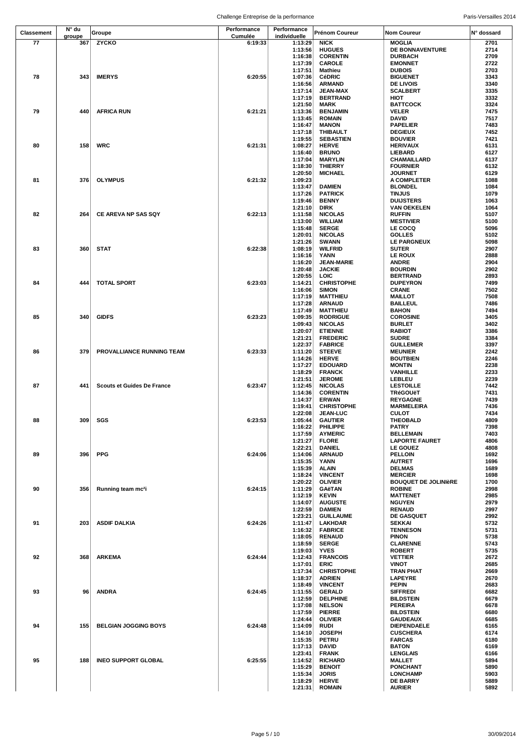| Classement | N° du         | Groupe                            | Performance        | Performance             | Prénom Coureur                      | <b>Nom Coureur</b>                            | N° dossard   |
|------------|---------------|-----------------------------------|--------------------|-------------------------|-------------------------------------|-----------------------------------------------|--------------|
| 77         | groupe<br>367 | <b>ZYCKO</b>                      | Cumulée<br>6:19:33 | individuelle<br>1:13:29 | <b>NICK</b>                         | <b>MOGLIA</b>                                 | 2701         |
|            |               |                                   |                    | 1:13:56                 | <b>HUGUES</b>                       | DE BONNAVENTURE                               | 2714         |
|            |               |                                   |                    | 1:16:38                 | <b>CORENTIN</b>                     | <b>DURBACH</b>                                | 2709         |
|            |               |                                   |                    | 1:17:39                 | <b>CAROLE</b>                       | <b>EMONNET</b>                                | 2722         |
|            |               |                                   |                    | 1:17:51                 | Mathieu                             | <b>DUBOIS</b>                                 | 2703         |
| 78         | 343           | <b>IMERYS</b>                     | 6:20:55            | 1:07:36                 | <b>CéDRIC</b><br><b>ARMAND</b>      | <b>BIGUENET</b>                               | 3343         |
|            |               |                                   |                    | 1:16:56<br>1:17:14      | <b>JEAN-MAX</b>                     | <b>DE LIVOIS</b><br><b>SCALBERT</b>           | 3340<br>3335 |
|            |               |                                   |                    | 1:17:19                 | <b>BERTRAND</b>                     | HIOT                                          | 3332         |
|            |               |                                   |                    | 1:21:50                 | MARK                                | <b>BATTCOCK</b>                               | 3324         |
| 79         | 440           | <b>AFRICA RUN</b>                 | 6:21:21            | 1:13:36                 | <b>BENJAMIN</b>                     | <b>VELER</b>                                  | 7475         |
|            |               |                                   |                    | 1:13:45                 | <b>ROMAIN</b>                       | <b>DAVID</b>                                  | 7517         |
|            |               |                                   |                    | 1:16:47                 | <b>MANON</b>                        | <b>PAPELIER</b>                               | 7483         |
|            |               |                                   |                    | 1:17:18<br>1:19:55      | <b>THIBAULT</b><br><b>SEBASTIEN</b> | <b>DEGIEUX</b><br><b>BOUVIER</b>              | 7452<br>7421 |
| 80         | 158           | <b>WRC</b>                        | 6:21:31            | 1:08:27                 | <b>HERVE</b>                        | <b>HERIVAUX</b>                               | 6131         |
|            |               |                                   |                    | 1:16:40                 | <b>BRUNO</b>                        | LIEBARD                                       | 6127         |
|            |               |                                   |                    | 1:17:04                 | <b>MARYLIN</b>                      | CHAMAILLARD                                   | 6137         |
|            |               |                                   |                    | 1:18:30<br>1:20:50      | <b>THIERRY</b><br><b>MICHAEL</b>    | <b>FOURNIER</b><br><b>JOURNET</b>             | 6132<br>6129 |
| 81         | 376           | <b>OLYMPUS</b>                    | 6:21:32            | 1:09:23                 |                                     | A COMPLETER                                   | 1088         |
|            |               |                                   |                    | 1:13:47                 | <b>DAMIEN</b>                       | <b>BLONDEL</b>                                | 1084         |
|            |               |                                   |                    | 1:17:26                 | <b>PATRICK</b>                      | <b>TINJUS</b>                                 | 1079         |
|            |               |                                   |                    | 1:19:46                 | <b>BENNY</b>                        | <b>DUIJSTERS</b>                              | 1063         |
|            |               |                                   |                    | 1:21:10                 | <b>DIRK</b>                         | <b>VAN OEKELEN</b>                            | 1064         |
| 82         | 264           | CE AREVA NP SAS SQY               | 6:22:13            | 1:11:58<br>1:13:00      | <b>NICOLAS</b><br><b>WILLIAM</b>    | <b>RUFFIN</b><br><b>MESTIVIER</b>             | 5107<br>5100 |
|            |               |                                   |                    | 1:15:48                 | <b>SERGE</b>                        | LE COCQ                                       | 5096         |
|            |               |                                   |                    | 1:20:01                 | <b>NICOLAS</b>                      | <b>GOLLES</b>                                 | 5102         |
|            |               |                                   |                    | 1:21:26                 | <b>SWANN</b>                        | LE PARGNEUX                                   | 5098         |
| 83         | 360           | <b>STAT</b>                       | 6:22:38            | 1:08:19                 | <b>WILFRID</b>                      | <b>SUTER</b>                                  | 2907         |
|            |               |                                   |                    | 1:16:16                 | YANN                                | LE ROUX                                       | 2888         |
|            |               |                                   |                    | 1:16:20<br>1:20:48      | <b>JEAN-MARIE</b><br><b>JACKIE</b>  | <b>ANDRE</b><br><b>BOURDIN</b>                | 2904<br>2902 |
|            |               |                                   |                    | 1:20:55                 | LOIC                                | <b>BERTRAND</b>                               | 2893         |
| 84         | 444           | <b>TOTAL SPORT</b>                | 6:23:03            | 1:14:21                 | <b>CHRISTOPHE</b>                   | <b>DUPEYRON</b>                               | 7499         |
|            |               |                                   |                    | 1:16:06                 | <b>SIMON</b>                        | <b>CRANE</b>                                  | 7502         |
|            |               |                                   |                    | 1:17:19                 | <b>MATTHIEU</b>                     | <b>MAILLOT</b>                                | 7508         |
|            |               |                                   |                    | 1:17:28<br>1:17:49      | <b>ARNAUD</b><br><b>MATTHIEU</b>    | <b>BAILLEUL</b><br><b>BAHON</b>               | 7486<br>7494 |
| 85         | 340           | <b>GIDFS</b>                      | 6:23:23            | 1:09:35                 | <b>RODRIGUE</b>                     | <b>COROSINE</b>                               | 3405         |
|            |               |                                   |                    | 1:09:43                 | <b>NICOLAS</b>                      | <b>BURLET</b>                                 | 3402         |
|            |               |                                   |                    | 1:20:07                 | <b>ETIENNE</b>                      | <b>RABIOT</b>                                 | 3386         |
|            |               |                                   |                    | 1:21:21                 | <b>FREDERIC</b>                     | <b>SUDRE</b>                                  | 3384         |
|            | 379           |                                   | 6:23:33            | 1:22:37                 | <b>FABRICE</b>                      | <b>GUILLEMER</b>                              | 3397<br>2242 |
| 86         |               | PROVALLIANCE RUNNING TEAM         |                    | 1:11:20<br>1:14:26      | <b>STEEVE</b><br><b>HERVE</b>       | <b>MEUNIER</b><br><b>BOUTBIEN</b>             | 2246         |
|            |               |                                   |                    | 1:17:27                 | <b>EDOUARD</b>                      | <b>MONTIN</b>                                 | 2238         |
|            |               |                                   |                    | 1:18:29                 | <b>FRANCK</b>                       | VANHILLE                                      | 2233         |
|            |               |                                   |                    | 1:21:51                 | <b>JEROME</b>                       | LEBLEU                                        | 2239         |
| 87         | 441           | <b>Scouts et Guides De France</b> | 6:23:47            | 1:12:45                 | <b>NICOLAS</b>                      | <b>LESTOILLE</b>                              | 7442         |
|            |               |                                   |                    | 1:14:36<br>1:14:37      | <b>CORENTIN</b><br><b>ERWAN</b>     | <b>TRéGOUËT</b><br><b>REYGAGNE</b>            | 7431<br>7439 |
|            |               |                                   |                    | 1:19:41                 | <b>CHRISTOPHE</b>                   | <b>MARMELEIRA</b>                             | 7436         |
|            |               |                                   |                    | 1:22:08                 | <b>JEAN-LUC</b>                     | <b>CULOT</b>                                  | 7434         |
| 88         | 309           | SGS                               | 6:23:53            | 1:05:44                 | <b>GAUTIER</b>                      | THEOBALD                                      | 4809         |
|            |               |                                   |                    | 1:16:22                 | PHILIPPE                            | <b>PATRY</b>                                  | 7398         |
|            |               |                                   |                    | 1:17:59<br>1:21:27      | <b>AYMERIC</b><br>FLORE             | <b>BELLEMAIN</b><br><b>LAPORTE FAURET</b>     | 7403<br>4806 |
|            |               |                                   |                    | 1:22:21                 | DANIEL                              | LE GOUEZ                                      | 4808         |
| 89         | 396           | <b>PPG</b>                        | 6:24:06            | 1:14:06                 | <b>ARNAUD</b>                       | <b>PELLOIN</b>                                | 1692         |
|            |               |                                   |                    | 1:15:35                 | YANN                                | <b>AUTRET</b>                                 | 1696         |
|            |               |                                   |                    | 1:15:39                 | <b>ALAIN</b>                        | <b>DELMAS</b>                                 | 1689         |
|            |               |                                   |                    | 1:18:24                 | <b>VINCENT</b>                      | <b>MERCIER</b><br><b>BOUQUET DE JOLINIÈRE</b> | 1698         |
| 90         | 356           | Running team mc <sup>2</sup> i    | 6:24:15            | 1:20:22<br>1:11:29      | <b>OLIVIER</b><br><b>GAëTAN</b>     | <b>ROBINE</b>                                 | 1700<br>2998 |
|            |               |                                   |                    | 1:12:19                 | <b>KEVIN</b>                        | <b>MATTENET</b>                               | 2985         |
|            |               |                                   |                    | 1:14:07                 | <b>AUGUSTE</b>                      | <b>NGUYEN</b>                                 | 2979         |
|            |               |                                   |                    | 1:22:59                 | <b>DAMIEN</b>                       | <b>RENAUD</b>                                 | 2997         |
| 91         | 203           | <b>ASDIF DALKIA</b>               | 6:24:26            | 1:23:21                 | <b>GUILLAUME</b><br><b>LAKHDAR</b>  | <b>DE GASQUET</b><br><b>SEKKAI</b>            | 2992<br>5732 |
|            |               |                                   |                    | 1:11:47<br>1:16:32      | <b>FABRICE</b>                      | <b>TENNESON</b>                               | 5731         |
|            |               |                                   |                    | 1:18:05                 | <b>RENAUD</b>                       | <b>PINON</b>                                  | 5738         |
|            |               |                                   |                    | 1:18:59                 | <b>SERGE</b>                        | <b>CLARENNE</b>                               | 5743         |
|            |               |                                   |                    | 1:19:03                 | <b>YVES</b>                         | <b>ROBERT</b>                                 | 5735         |
| 92         | 368           | <b>ARKEMA</b>                     | 6:24:44            | 1:12:43                 | <b>FRANCOIS</b>                     | <b>VETTIER</b>                                | 2672         |
|            |               |                                   |                    | 1:17:01<br>1:17:34      | ERIC<br><b>CHRISTOPHE</b>           | <b>VINOT</b><br>TRAN PHAT                     | 2685<br>2669 |
|            |               |                                   |                    | 1:18:37                 | <b>ADRIEN</b>                       | <b>LAPEYRE</b>                                | 2670         |
|            |               |                                   |                    | 1:18:49                 | <b>VINCENT</b>                      | PEPIN                                         | 2683         |
| 93         | 96            | <b>ANDRA</b>                      | 6:24:45            | 1:11:55                 | <b>GERALD</b>                       | <b>SIFFREDI</b>                               | 6682         |
|            |               |                                   |                    | 1:12:59                 | <b>DELPHINE</b>                     | <b>BILDSTEIN</b>                              | 6679         |
|            |               |                                   |                    | 1:17:08<br>1:17:59      | <b>NELSON</b><br><b>PIERRE</b>      | <b>PEREIRA</b><br><b>BILDSTEIN</b>            | 6678<br>6680 |
|            |               |                                   |                    | 1:24:44                 | <b>OLIVIER</b>                      | <b>GAUDEAUX</b>                               | 6685         |
| 94         | 155           | <b>BELGIAN JOGGING BOYS</b>       | 6:24:48            | 1:14:09                 | RUDI                                | <b>DIEPENDAELE</b>                            | 6165         |
|            |               |                                   |                    | 1:14:10                 | <b>JOSEPH</b>                       | <b>CUSCHERA</b>                               | 6174         |
|            |               |                                   |                    | 1:15:35                 | <b>PETRU</b>                        | <b>FARCAS</b>                                 | 6180         |
|            |               |                                   |                    | 1:17:13<br>1:23:41      | DAVID<br><b>FRANK</b>               | <b>BATON</b><br><b>LENGLAIS</b>               | 6169<br>6166 |
| 95         | 188           | <b>INEO SUPPORT GLOBAL</b>        | 6:25:55            | 1:14:52                 | <b>RICHARD</b>                      | <b>MALLET</b>                                 | 5894         |
|            |               |                                   |                    | 1:15:29                 | <b>BENOIT</b>                       | <b>PONCHANT</b>                               | 5890         |
|            |               |                                   |                    | 1:15:34                 | <b>JORIS</b>                        | <b>LONCHAMP</b>                               | 5903         |
|            |               |                                   |                    | 1:18:29                 | <b>HERVE</b>                        | <b>DE BARRY</b>                               | 5889         |
|            |               |                                   |                    | 1:21:31                 | <b>ROMAIN</b>                       | <b>AURIER</b>                                 | 5892         |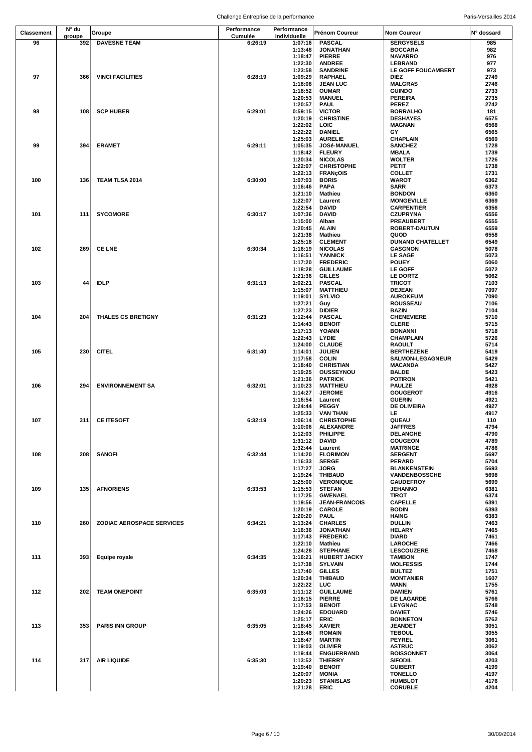|                   | N° du  |                                  | Performance | Performance  |                      |                         |            |
|-------------------|--------|----------------------------------|-------------|--------------|----------------------|-------------------------|------------|
| <b>Classement</b> | groupe | Groupe                           | Cumulée     | individuelle | Prénom Coureur       | <b>Nom Coureur</b>      | N° dossard |
| 96                | 392    |                                  |             |              |                      |                         | 985        |
|                   |        | <b>DAVESNE TEAM</b>              | 6:26:19     | 1:07:16      | <b>PASCAL</b>        | <b>SERGYSELS</b>        |            |
|                   |        |                                  |             | 1:13:48      | <b>JONATHAN</b>      | <b>BOCCARA</b>          | 982        |
|                   |        |                                  |             | 1:18:47      | <b>PIERRE</b>        | <b>NAVARRO</b>          | 976        |
|                   |        |                                  |             | 1:22:30      | <b>ANDREE</b>        | LEBRAND                 | 977        |
|                   |        |                                  |             | 1:23:58      | <b>SANDRINE</b>      | LE GOFF FOUCAMBERT      | 973        |
| 97                | 366    | <b>VINCI FACILITIES</b>          | 6:28:19     | 1:09:29      | <b>RAPHAEL</b>       | DIEZ                    | 2749       |
|                   |        |                                  |             | 1:18:08      | <b>JEAN LUC</b>      | MALGRAS                 | 2746       |
|                   |        |                                  |             | 1:18:52      | <b>OUMAR</b>         | <b>GUINDO</b>           | 2733       |
|                   |        |                                  |             | 1:20:53      | <b>MANUEL</b>        | PEREIRA                 | 2735       |
|                   |        |                                  |             |              |                      |                         |            |
|                   |        |                                  |             | 1:20:57      | <b>PAUL</b>          | <b>PEREZ</b>            | 2742       |
| 98                | 108    | <b>SCP HUBER</b>                 | 6:29:01     | 0:59:15      | <b>VICTOR</b>        | <b>BORRALHO</b>         | 181        |
|                   |        |                                  |             | 1:20:19      | <b>CHRISTINE</b>     | <b>DESHAYES</b>         | 6575       |
|                   |        |                                  |             | 1:22:02      | <b>LOIC</b>          | <b>MAGNAN</b>           | 6568       |
|                   |        |                                  |             | 1:22:22      | <b>DANIEL</b>        | GY                      | 6565       |
|                   |        |                                  |             | 1:25:03      | <b>AURELIE</b>       | <b>CHAPLAIN</b>         | 6569       |
| 99                | 394    | <b>ERAMET</b>                    | 6:29:11     | 1:05:35      | JOSé-MANUEL          | <b>SANCHEZ</b>          | 1728       |
|                   |        |                                  |             | 1:18:42      | <b>FLEURY</b>        | MBALA                   | 1739       |
|                   |        |                                  |             | 1:20:34      | <b>NICOLAS</b>       | <b>WOLTER</b>           | 1726       |
|                   |        |                                  |             |              |                      |                         |            |
|                   |        |                                  |             | 1:22:07      | <b>CHRISTOPHE</b>    | PETIT                   | 1738       |
|                   |        |                                  |             | 1:22:13      | <b>FRANÇOIS</b>      | COLLET                  | 1731       |
| 100               | 136    | <b>TEAM TLSA 2014</b>            | 6:30:00     | 1:07:03      | <b>BORIS</b>         | <b>WAROT</b>            | 6362       |
|                   |        |                                  |             | 1:16:46      | <b>PAPA</b>          | SARR                    | 6373       |
|                   |        |                                  |             | 1:21:10      | <b>Mathieu</b>       | <b>BONDON</b>           | 6360       |
|                   |        |                                  |             | 1:22:07      | Laurent              | <b>MONGEVILLE</b>       | 6369       |
|                   |        |                                  |             | 1:22:54      | <b>DAVID</b>         | <b>CARPENTIER</b>       | 6356       |
| 101               | 111    | <b>SYCOMORE</b>                  | 6:30:17     | 1:07:36      | <b>DAVID</b>         | CZUPRYNA                | 6556       |
|                   |        |                                  |             | 1:15:00      |                      | <b>PREAUBERT</b>        | 6555       |
|                   |        |                                  |             |              | Alban                |                         |            |
|                   |        |                                  |             | 1:20:45      | <b>ALAIN</b>         | <b>ROBERT-DAUTUN</b>    | 6559       |
|                   |        |                                  |             | 1:21:38      | Mathieu              | QUOD                    | 6558       |
|                   |        |                                  |             | 1:25:18      | <b>CLEMENT</b>       | <b>DUNAND CHATELLET</b> | 6549       |
| 102               | 269    | <b>CE LNE</b>                    | 6:30:34     | 1:16:19      | <b>NICOLAS</b>       | <b>GASGNON</b>          | 5078       |
|                   |        |                                  |             | 1:16:51      | <b>YANNICK</b>       | <b>LE SAGE</b>          | 5073       |
|                   |        |                                  |             | 1:17:20      | <b>FREDERIC</b>      | <b>POUEY</b>            | 5060       |
|                   |        |                                  |             | 1:18:28      | <b>GUILLAUME</b>     | <b>LE GOFF</b>          | 5072       |
|                   |        |                                  |             | 1:21:36      | <b>GILLES</b>        | LE DORTZ                | 5062       |
|                   |        |                                  |             |              |                      |                         |            |
| 103               | 44     | <b>IDLP</b>                      | 6:31:13     | 1:02:21      | <b>PASCAL</b>        | <b>TRICOT</b>           | 7103       |
|                   |        |                                  |             | 1:15:07      | <b>MATTHIEU</b>      | <b>DEJEAN</b>           | 7097       |
|                   |        |                                  |             | 1:19:01      | <b>SYLVIO</b>        | <b>AUROKEUM</b>         | 7090       |
|                   |        |                                  |             | 1:27:21      | Guy                  | <b>ROUSSEAU</b>         | 7106       |
|                   |        |                                  |             | 1:27:23      | <b>DIDIER</b>        | BAZIN                   | 7104       |
| 104               | 204    | THALES CS BRETIGNY               | 6:31:23     | 1:12:44      | <b>PASCAL</b>        | <b>CHENEVIERE</b>       | 5710       |
|                   |        |                                  |             | 1:14:43      | <b>BENOIT</b>        | <b>CLERE</b>            | 5715       |
|                   |        |                                  |             |              |                      |                         |            |
|                   |        |                                  |             | 1:17:13      | YOANN                | <b>BONANNI</b>          | 5718       |
|                   |        |                                  |             | 1:22:43      | <b>LYDIE</b>         | <b>CHAMPLAIN</b>        | 5726       |
|                   |        |                                  |             | 1:24:00      | <b>CLAUDE</b>        | RAOULT                  | 5714       |
| 105               | 230    | <b>CITEL</b>                     | 6:31:40     | 1:14:01      | <b>JULIEN</b>        | <b>BERTHEZENE</b>       | 5419       |
|                   |        |                                  |             | 1:17:58      | <b>COLIN</b>         | <b>SALMON-LEGAGNEUR</b> | 5429       |
|                   |        |                                  |             | 1:18:40      | <b>CHRISTIAN</b>     | MACANDA                 | 5427       |
|                   |        |                                  |             | 1:19:25      | OUSSEYNOU            | <b>BALDE</b>            | 5423       |
|                   |        |                                  |             |              |                      |                         |            |
|                   |        |                                  |             | 1:21:36      | <b>PATRICK</b>       | <b>POTIRON</b>          | 5421       |
| 106               | 294    | <b>ENVIRONNEMENT SA</b>          | 6:32:01     | 1:10:23      | <b>MATTHIEU</b>      | <b>PAULZE</b>           | 4928       |
|                   |        |                                  |             | 1:14:27      | <b>JEROME</b>        | <b>GOUGEROT</b>         | 4916       |
|                   |        |                                  |             | 1:16:54      | Laurent              | <b>GUERIN</b>           | 4921       |
|                   |        |                                  |             | 1:24:44      | <b>PEGGY</b>         | <b>DE OLIVEIRA</b>      | 4927       |
|                   |        |                                  |             | 1:25:33      | <b>VAN THAN</b>      | LE.                     | 4917       |
| 107               | 311    | <b>CE ITESOFT</b>                | 6:32:19     | 1:06:14      | <b>CHRISTOPHE</b>    | QUEAU                   | 110        |
|                   |        |                                  |             | 1:10:06      |                      |                         | 4794       |
|                   |        |                                  |             |              | <b>ALEXANDRE</b>     | <b>JAFFRES</b>          |            |
|                   |        |                                  |             | 1:12:03      | PHILIPPE             | DELANGHE                | 4790       |
|                   |        |                                  |             | 1:31:12      | <b>DAVID</b>         | <b>GOUGEON</b>          | 4789       |
|                   |        |                                  |             | 1:32:44      | Laurent              | <b>MATRINGE</b>         | 4786       |
| 108               | 208    | <b>SANOFI</b>                    | 6:32:44     | 1:14:20      | <b>FLORIMON</b>      | <b>SERGENT</b>          | 5697       |
|                   |        |                                  |             | 1:16:33      | <b>SERGE</b>         | <b>PERARD</b>           | 5704       |
|                   |        |                                  |             | 1:17:27      | <b>JORG</b>          | <b>BLANKENSTEIN</b>     | 5693       |
|                   |        |                                  |             | 1:19:24      | <b>THIBAUD</b>       | VANDENBOSSCHE           | 5698       |
|                   |        |                                  |             | 1:25:00      | <b>VERONIQUE</b>     | <b>GAUDEFROY</b>        | 5699       |
| 109               | 135    | <b>AFNORIENS</b>                 | 6:33:53     |              |                      | <b>JEHANNO</b>          | 6381       |
|                   |        |                                  |             | 1:15:53      | <b>STEFAN</b>        |                         |            |
|                   |        |                                  |             | 1:17:25      | <b>GWENAEL</b>       | <b>TIROT</b>            | 6374       |
|                   |        |                                  |             | 1:19:56      | <b>JEAN-FRANCOIS</b> | <b>CAPELLE</b>          | 6391       |
|                   |        |                                  |             | 1:20:19      | <b>CAROLE</b>        | <b>BODIN</b>            | 6393       |
|                   |        |                                  |             | 1:20:20      | <b>PAUL</b>          | HAING                   | 6383       |
| 110               | 260    | <b>ZODIAC AEROSPACE SERVICES</b> | 6:34:21     | 1:13:24      | <b>CHARLES</b>       | <b>DULLIN</b>           | 7463       |
|                   |        |                                  |             | 1:16:36      | <b>JONATHAN</b>      | <b>HELARY</b>           | 7465       |
|                   |        |                                  |             | 1:17:43      | <b>FREDERIC</b>      | DIARD                   | 7461       |
|                   |        |                                  |             | 1:22:10      | Mathieu              | <b>LAROCHE</b>          | 7466       |
|                   |        |                                  |             | 1:24:28      | <b>STEPHANE</b>      | <b>LESCOUZERE</b>       | 7468       |
| 111               | 393    | <b>Equipe royale</b>             | 6:34:35     | 1:16:21      | <b>HUBERT JACKY</b>  | <b>TAMBON</b>           | 1747       |
|                   |        |                                  |             |              |                      |                         |            |
|                   |        |                                  |             | 1:17:38      | <b>SYLVAIN</b>       | <b>MOLFESSIS</b>        | 1744       |
|                   |        |                                  |             | 1:17:40      | <b>GILLES</b>        | <b>BULTEZ</b>           | 1751       |
|                   |        |                                  |             | 1:20:34      | <b>THIBAUD</b>       | <b>MONTANIER</b>        | 1607       |
|                   |        |                                  |             | 1:22:22      | <b>LUC</b>           | MANN                    | 1755       |
| 112               | 202    | <b>TEAM ONEPOINT</b>             | 6:35:03     | 1:11:12      | <b>GUILLAUME</b>     | DAMIEN                  | 5761       |
|                   |        |                                  |             | 1:16:15      | <b>PIERRE</b>        | <b>DE LAGARDE</b>       | 5766       |
|                   |        |                                  |             | 1:17:53      | <b>BENOIT</b>        | <b>LEYGNAC</b>          | 5748       |
|                   |        |                                  |             | 1:24:26      | <b>EDOUARD</b>       | DAVIET                  | 5746       |
|                   |        |                                  |             |              | <b>ERIC</b>          |                         | 5762       |
|                   |        |                                  |             | 1:25:17      |                      | <b>BONNETON</b>         |            |
| 113               | 353    | <b>PARIS INN GROUP</b>           | 6:35:05     | 1:18:45      | <b>XAVIER</b>        | <b>JEANDET</b>          | 3051       |
|                   |        |                                  |             | 1:18:46      | <b>ROMAIN</b>        | <b>TEBOUL</b>           | 3055       |
|                   |        |                                  |             | 1:18:47      | <b>MARTIN</b>        | <b>PEYREL</b>           | 3061       |
|                   |        |                                  |             | 1:19:03      | <b>OLIVIER</b>       | <b>ASTRUC</b>           | 3062       |
|                   |        |                                  |             | 1:19:44      | <b>ENGUERRAND</b>    | <b>BOISSONNET</b>       | 3064       |
| 114               | 317    | <b>AIR LIQUIDE</b>               | 6:35:30     | 1:13:52      | <b>THIERRY</b>       | SIFODIL                 | 4203       |
|                   |        |                                  |             | 1:19:40      | <b>BENOIT</b>        | <b>GUIBERT</b>          | 4199       |
|                   |        |                                  |             |              |                      |                         |            |
|                   |        |                                  |             | 1:20:07      | MONIA                | TONELLO                 | 4197       |
|                   |        |                                  |             | 1:20:23      | <b>STANISLAS</b>     | <b>HUMBLOT</b>          | 4176       |
|                   |        |                                  |             | 1:21:28      | ERIC                 | <b>CORUBLE</b>          | 4204       |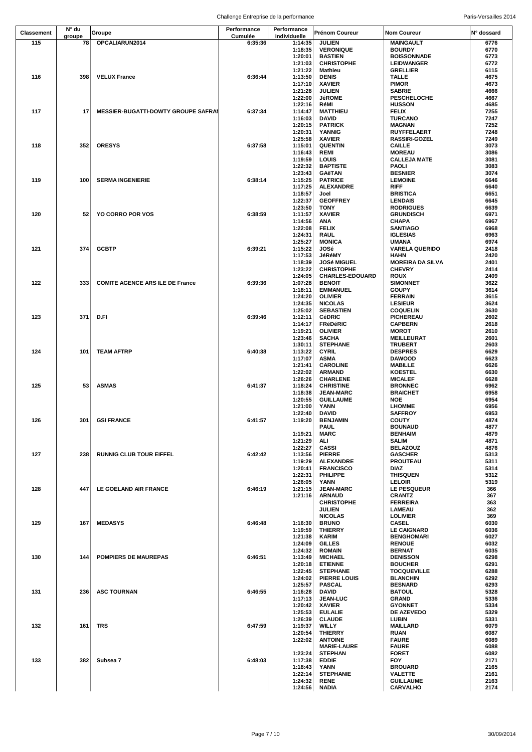|                   | N° du  |                                            | Performance | Performance        |                                        |                                            |              |
|-------------------|--------|--------------------------------------------|-------------|--------------------|----------------------------------------|--------------------------------------------|--------------|
| <b>Classement</b> | groupe | Groupe                                     | Cumulée     | individuelle       | <b>Prénom Coureur</b>                  | <b>Nom Coureur</b>                         | N° dossard   |
| 115               | 78     | OPCALIARUN2014                             | 6:35:36     | 1:14:35            | <b>JULIEN</b>                          | <b>MAINGAULT</b>                           | 6776         |
|                   |        |                                            |             | 1:18:35<br>1:20:01 | <b>VERONIQUE</b><br><b>BASTIEN</b>     | <b>BOURDY</b><br><b>BOISSONNADE</b>        | 6770<br>6773 |
|                   |        |                                            |             | 1:21:03            | <b>CHRISTOPHE</b>                      | <b>LEIDWANGER</b>                          | 6772         |
|                   |        |                                            |             | 1:21:22            | Mathieu                                | <b>GRELLIER</b>                            | 6115         |
| 116               | 398    | <b>VELUX France</b>                        | 6:36:44     | 1:13:50            | <b>DENIS</b>                           | <b>TALLE</b>                               | 4675         |
|                   |        |                                            |             | 1:17:10            | <b>XAVIER</b>                          | PIMOR                                      | 4673         |
|                   |        |                                            |             | 1:21:28<br>1:22:00 | <b>JULIEN</b><br><b>JéROME</b>         | <b>SABRIE</b><br><b>PESCHELOCHE</b>        | 4666<br>4667 |
|                   |        |                                            |             | 1:22:16            | RéMI                                   | <b>HUSSON</b>                              | 4685         |
| 117               | 17     | <b>MESSIER-BUGATTI-DOWTY GROUPE SAFRAI</b> | 6:37:34     | 1:14:47            | <b>MATTHIEU</b>                        | FELIX                                      | 7255         |
|                   |        |                                            |             | 1:16:03            | <b>DAVID</b>                           | <b>TURCANO</b>                             | 7247         |
|                   |        |                                            |             | 1:20:15            | <b>PATRICK</b>                         | <b>MAGNAN</b>                              | 7252         |
|                   |        |                                            |             | 1:20:31<br>1:25:58 | <b>YANNIG</b><br><b>XAVIER</b>         | <b>RUYFFELAERT</b><br><b>RASSIRI-GOZEL</b> | 7248<br>7249 |
| 118               | 352    | <b>ORESYS</b>                              | 6:37:58     | 1:15:01            | <b>QUENTIN</b>                         | <b>CAILLE</b>                              | 3073         |
|                   |        |                                            |             | 1:16:43            | REMI                                   | <b>MOREAU</b>                              | 3086         |
|                   |        |                                            |             | 1:19:59            | LOUIS                                  | <b>CALLEJA MATE</b>                        | 3081         |
|                   |        |                                            |             | 1:22:32            | <b>BAPTISTE</b>                        | PAOLI                                      | 3083         |
| 119               | 100    | <b>SERMA INGENIERIE</b>                    | 6:38:14     | 1:23:43<br>1:15:25 | <b>GAëTAN</b><br><b>PATRICE</b>        | <b>BESNIER</b><br><b>LEMOINE</b>           | 3074<br>6646 |
|                   |        |                                            |             | 1:17:25            | <b>ALEXANDRE</b>                       | RIFF                                       | 6640         |
|                   |        |                                            |             | 1:18:57            | Joel                                   | <b>BRISTICA</b>                            | 6651         |
|                   |        |                                            |             | 1:22:37            | <b>GEOFFREY</b>                        | <b>LENDAIS</b>                             | 6645         |
|                   |        |                                            |             | 1:23:50            | TONY                                   | <b>RODRIGUES</b>                           | 6639         |
| 120               | 52     | <b>YO CORRO POR VOS</b>                    | 6:38:59     | 1:11:57<br>1:14:56 | <b>XAVIER</b><br>ANA                   | <b>GRUNDISCH</b><br>CHAPA                  | 6971<br>6967 |
|                   |        |                                            |             | 1:22:08            | <b>FELIX</b>                           | <b>SANTIAGO</b>                            | 6968         |
|                   |        |                                            |             | 1:24:31            | <b>RAUL</b>                            | <b>IGLESIAS</b>                            | 6963         |
|                   |        |                                            |             | 1:25:27            | <b>MONICA</b>                          | UMANA                                      | 6974         |
| 121               | 374    | <b>GCBTP</b>                               | 6:39:21     | 1:15:22            | JOSé                                   | <b>VARELA QUERIDO</b>                      | 2418         |
|                   |        |                                            |             | 1:17:53<br>1:18:39 | JéRéMY<br><b>JOSé MIGUEL</b>           | HAHN<br><b>MOREIRA DA SILVA</b>            | 2420<br>2401 |
|                   |        |                                            |             | 1:23:22            | <b>CHRISTOPHE</b>                      | <b>CHEVRY</b>                              | 2414         |
|                   |        |                                            |             | 1:24:05            | <b>CHARLES-EDOUARD</b>                 | ROUX                                       | 2409         |
| 122               | 333    | <b>COMITE AGENCE ARS ILE DE France</b>     | 6:39:36     | 1:07:28            | <b>BENOIT</b>                          | <b>SIMONNET</b>                            | 3622         |
|                   |        |                                            |             | 1:18:11            | <b>EMMANUEL</b>                        | <b>GOUPY</b>                               | 3614         |
|                   |        |                                            |             | 1:24:20<br>1:24:35 | <b>OLIVIER</b><br><b>NICOLAS</b>       | <b>FERRAIN</b><br><b>LESIEUR</b>           | 3615<br>3624 |
|                   |        |                                            |             | 1:25:02            | <b>SEBASTIEN</b>                       | <b>COQUELIN</b>                            | 3630         |
| 123               | 371    | D.FI                                       | 6:39:46     | 1:12:11            | <b>CéDRIC</b>                          | PICHEREAU                                  | 2602         |
|                   |        |                                            |             | 1:14:17            | <b>FRéDéRIC</b>                        | <b>CAPBERN</b>                             | 2618         |
|                   |        |                                            |             | 1:19:21            | <b>OLIVIER</b>                         | <b>MOROT</b>                               | 2610         |
|                   |        |                                            |             | 1:23:46<br>1:30:11 | <b>SACHA</b><br><b>STEPHANE</b>        | <b>MEILLEURAT</b><br><b>TRUBERT</b>        | 2601<br>2603 |
| 124               | 101    | <b>TEAM AFTRP</b>                          | 6:40:38     | 1:13:22            | <b>CYRIL</b>                           | <b>DESPRES</b>                             | 6629         |
|                   |        |                                            |             | 1:17:07            | ASMA                                   | <b>DAWOOD</b>                              | 6623         |
|                   |        |                                            |             | 1:21:41            | <b>CAROLINE</b>                        | MABILLE                                    | 6626         |
|                   |        |                                            |             | 1:22:02            | <b>ARMAND</b>                          | <b>KOESTEL</b>                             | 6630         |
| 125               | 53     | <b>ASMAS</b>                               | 6:41:37     | 1:26:26<br>1:18:24 | <b>CHARLENE</b><br><b>CHRISTINE</b>    | <b>MICALEF</b><br><b>BRONNEC</b>           | 6628<br>6962 |
|                   |        |                                            |             | 1:18:38            | <b>JEAN-MARC</b>                       | <b>BRAICHET</b>                            | 6958         |
|                   |        |                                            |             | 1:20:55            | <b>GUILLAUME</b>                       | <b>NOE</b>                                 | 6954         |
|                   |        |                                            |             | 1:21:00            | YANN                                   | <b>LHOMME</b>                              | 6956         |
| 126               |        | 301 GSI FRANCE                             | 6:41:57     | 1:22:40<br>1:19:20 | <b>DAVID</b><br><b>BENJAMIN</b>        | <b>SAFFROY</b><br><b>COUTY</b>             | 6953<br>4874 |
|                   |        |                                            |             |                    | <b>PAUL</b>                            | <b>BOUNAUD</b>                             | 4877         |
|                   |        |                                            |             | 1:19:21            | <b>MARC</b>                            | <b>BENHAIM</b>                             | 4879         |
|                   |        |                                            |             | 1:21:29            | ALI                                    | SALIM                                      | 4871         |
|                   |        |                                            |             | 1:22:27            | CASSI                                  | <b>BELAZOUZ</b>                            | 4876         |
| 127               | 238    | <b>RUNNIG CLUB TOUR EIFFEL</b>             | 6:42:42     | 1:13:56<br>1:19:29 | <b>PIERRE</b><br><b>ALEXANDRE</b>      | <b>GASCHER</b><br>PROUTEAU                 | 5313<br>5311 |
|                   |        |                                            |             | 1:20:41            | <b>FRANCISCO</b>                       | DIAZ                                       | 5314         |
|                   |        |                                            |             | 1:22:31            | PHILIPPE                               | <b>THISQUEN</b>                            | 5312         |
|                   |        |                                            |             | 1:26:05            | YANN                                   | <b>LELOIR</b>                              | 5319         |
| 128               | 447    | LE GOELAND AIR FRANCE                      | 6:46:19     | 1:21:15<br>1:21:16 | <b>JEAN-MARC</b><br><b>ARNAUD</b>      | LE PESQUEUR<br><b>CRANTZ</b>               | 366<br>367   |
|                   |        |                                            |             |                    | <b>CHRISTOPHE</b>                      | <b>FERREIRA</b>                            | 363          |
|                   |        |                                            |             |                    | <b>JULIEN</b>                          | LAMEAU                                     | 362          |
|                   |        |                                            |             |                    | <b>NICOLAS</b>                         | <b>LOLIVIER</b>                            | 369          |
| 129               | 167    | <b>MEDASYS</b>                             | 6:46:48     | 1:16:30            | <b>BRUNO</b>                           | <b>CASEL</b>                               | 6030         |
|                   |        |                                            |             | 1:19:59<br>1:21:38 | <b>THIERRY</b><br>KARIM                | <b>LE CAIGNARD</b><br><b>BENGHOMARI</b>    | 6036<br>6027 |
|                   |        |                                            |             | 1:24:09            | <b>GILLES</b>                          | <b>RENOUE</b>                              | 6032         |
|                   |        |                                            |             | 1:24:32            | <b>ROMAIN</b>                          | <b>BERNAT</b>                              | 6035         |
| 130               | 144    | <b>POMPIERS DE MAUREPAS</b>                | 6:46:51     | 1:13:49            | <b>MICHAEL</b>                         | <b>DENISSON</b>                            | 6298         |
|                   |        |                                            |             | 1:20:18            | <b>ETIENNE</b>                         | <b>BOUCHER</b>                             | 6291         |
|                   |        |                                            |             | 1:22:45<br>1:24:02 | <b>STEPHANE</b><br><b>PIERRE LOUIS</b> | <b>TOCQUEVILLE</b><br><b>BLANCHIN</b>      | 6288<br>6292 |
|                   |        |                                            |             | 1:25:57            | PASCAL                                 | <b>BESNARD</b>                             | 6293         |
| 131               | 236    | <b>ASC TOURNAN</b>                         | 6:46:55     | 1:16:28            | <b>DAVID</b>                           | <b>BATOUL</b>                              | 5328         |
|                   |        |                                            |             | 1:17:13            | <b>JEAN-LUC</b>                        | GRAND                                      | 5336         |
|                   |        |                                            |             | 1:20:42            | <b>XAVIER</b>                          | <b>GYONNET</b>                             | 5334<br>5329 |
|                   |        |                                            |             | 1:25:53<br>1:26:39 | <b>EULALIE</b><br><b>CLAUDE</b>        | DE AZEVEDO<br>LUBIN                        | 5331         |
| 132               | 161    | TRS                                        | 6:47:59     | 1:19:37            | WILLY                                  | <b>MAILLARD</b>                            | 6079         |
|                   |        |                                            |             | 1:20:54            | <b>THIERRY</b>                         | <b>RUAN</b>                                | 6087         |
|                   |        |                                            |             | 1:22:02            | <b>ANTOINE</b>                         | <b>FAURE</b>                               | 6089         |
|                   |        |                                            |             |                    | <b>MARIE-LAURE</b>                     | <b>FAURE</b>                               | 6088         |
| 133               | 382    | Subsea 7                                   | 6:48:03     | 1:23:24<br>1:17:38 | <b>STEPHAN</b><br><b>EDDIE</b>         | <b>FORET</b><br><b>FOY</b>                 | 6082<br>2171 |
|                   |        |                                            |             | 1:18:43            | YANN                                   | <b>BROUARD</b>                             | 2165         |
|                   |        |                                            |             | 1:22:14            | <b>STEPHANIE</b>                       | <b>VALETTE</b>                             | 2161         |
|                   |        |                                            |             | 1:24:32            | <b>RENE</b>                            | <b>GUILLAUME</b>                           | 2163         |
|                   |        |                                            |             |                    | 1:24:56 NADIA                          | <b>CARVALHO</b>                            | 2174         |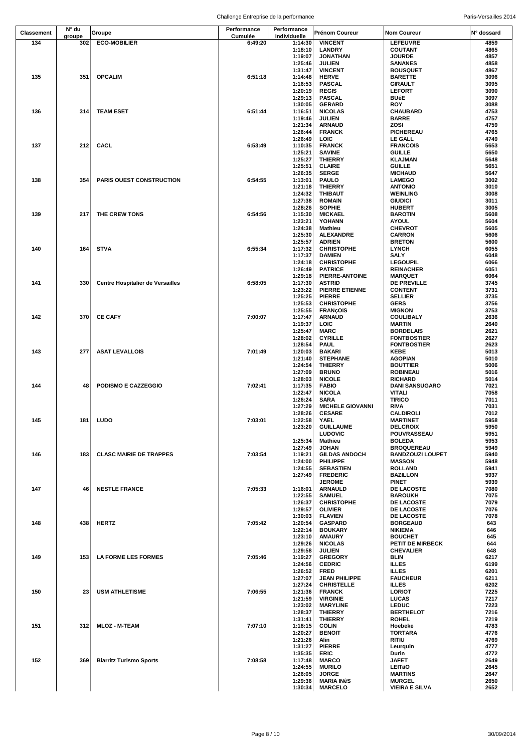|                   | N° du  |                                         | Performance | Performance        |                                        |                                        |              |
|-------------------|--------|-----------------------------------------|-------------|--------------------|----------------------------------------|----------------------------------------|--------------|
| <b>Classement</b> | groupe | Groupe                                  | Cumulée     | individuelle       | Prénom Coureur                         | Nom Coureur                            | N° dossard   |
| 134               | 302    | <b>ECO-MOBILIER</b>                     | 6:49:20     | 1:14:30<br>1:18:10 | <b>VINCENT</b><br><b>LANDRY</b>        | <b>LEFEUVRE</b><br>COUTANT             | 4859<br>4865 |
|                   |        |                                         |             | 1:19:07            | <b>JONATHAN</b>                        | <b>JOURDE</b>                          | 4857         |
|                   |        |                                         |             | 1:25:46            | <b>JULIEN</b>                          | <b>SANANES</b>                         | 4858         |
|                   |        |                                         |             | 1:31:47            | <b>VINCENT</b>                         | <b>BOUSQUET</b>                        | 4867         |
| 135               | 351    | <b>OPCALIM</b>                          | 6:51:18     | 1:14:48<br>1:16:53 | <b>HERVE</b><br><b>PASCAL</b>          | <b>BARETTE</b><br><b>GIRAULT</b>       | 3096<br>3095 |
|                   |        |                                         |             | 1:20:19            | <b>REGIS</b>                           | <b>LEFORT</b>                          | 3090         |
|                   |        |                                         |             | 1:29:13            | <b>PASCAL</b>                          | <b>BUéE</b>                            | 3097         |
|                   |        |                                         |             | 1:30:05            | <b>GERARD</b>                          | <b>ROY</b>                             | 3088         |
| 136               | 314    | <b>TEAM ESET</b>                        | 6:51:44     | 1:16:51<br>1:19:46 | <b>NICOLAS</b><br><b>JULIEN</b>        | <b>CHAUBARD</b><br><b>BARRE</b>        | 4753<br>4757 |
|                   |        |                                         |             | 1:21:34            | <b>ARNAUD</b>                          | ZOSI                                   | 4759         |
|                   |        |                                         |             | 1:26:44            | <b>FRANCK</b>                          | <b>PICHEREAU</b>                       | 4765         |
|                   |        |                                         |             | 1:26:49            | <b>LOIC</b>                            | <b>LE GALL</b>                         | 4749         |
| 137               | 212    | <b>CACL</b>                             | 6:53:49     | 1:10:35<br>1:25:21 | <b>FRANCK</b><br><b>SAVINE</b>         | <b>FRANCOIS</b><br><b>GUILLE</b>       | 5653<br>5650 |
|                   |        |                                         |             | 1:25:27            | <b>THIERRY</b>                         | <b>KLAJMAN</b>                         | 5648         |
|                   |        |                                         |             | 1:25:51            | <b>CLAIRE</b>                          | <b>GUILLE</b>                          | 5651         |
|                   |        |                                         |             | 1:26:35            | <b>SERGE</b>                           | <b>MICHAUD</b>                         | 5647         |
| 138               | 354    | <b>PARIS OUEST CONSTRUCTION</b>         | 6:54:55     | 1:13:01<br>1:21:18 | PAULO<br><b>THIERRY</b>                | <b>LAMEGO</b><br><b>ANTONIO</b>        | 3002<br>3010 |
|                   |        |                                         |             | 1:24:32            | <b>THIBAUT</b>                         | <b>WEINLING</b>                        | 3008         |
|                   |        |                                         |             | 1:27:38            | <b>ROMAIN</b>                          | <b>GIUDICI</b>                         | 3011         |
|                   |        |                                         |             | 1:28:26            | <b>SOPHIE</b>                          | <b>HUBERT</b>                          | 3005         |
| 139               | 217    | THE CREW TONS                           | 6:54:56     | 1:15:30            | <b>MICKAEL</b>                         | <b>BAROTIN</b>                         | 5608         |
|                   |        |                                         |             | 1:23:21<br>1:24:38 | YOHANN<br>Mathieu                      | <b>AYOUL</b><br><b>CHEVROT</b>         | 5604<br>5605 |
|                   |        |                                         |             | 1:25:30            | <b>ALEXANDRE</b>                       | <b>CARRON</b>                          | 5606         |
|                   |        |                                         |             | 1:25:57            | <b>ADRIEN</b>                          | <b>BRETON</b>                          | 5600         |
| 140               | 164    | <b>STVA</b>                             | 6:55:34     | 1:17:32            | <b>CHRISTOPHE</b>                      | <b>LYNCH</b>                           | 6055         |
|                   |        |                                         |             | 1:17:37<br>1:24:18 | <b>DAMIEN</b><br><b>CHRISTOPHE</b>     | SALY<br><b>LEGOUPIL</b>                | 6048<br>6066 |
|                   |        |                                         |             | 1:26:49            | <b>PATRICE</b>                         | <b>REINACHER</b>                       | 6051         |
|                   |        |                                         |             | 1:29:18            | <b>PIERRE-ANTOINE</b>                  | <b>MARQUET</b>                         | 6064         |
| 141               | 330    | <b>Centre Hospitalier de Versailles</b> | 6:58:05     | 1:17:30            | <b>ASTRID</b>                          | <b>DE PREVILLE</b>                     | 3745         |
|                   |        |                                         |             | 1:23:22<br>1:25:25 | PIERRE ETIENNE<br><b>PIERRE</b>        | <b>CONTENT</b><br><b>SELLIER</b>       | 3731<br>3735 |
|                   |        |                                         |             | 1:25:53            | <b>CHRISTOPHE</b>                      | <b>GERS</b>                            | 3756         |
|                   |        |                                         |             | 1:25:55            | <b>FRANÇOIS</b>                        | <b>MIGNON</b>                          | 3753         |
| 142               | 370    | <b>CE CAFY</b>                          | 7:00:07     | 1:17:47            | <b>ARNAUD</b>                          | <b>COULIBALY</b>                       | 2636         |
|                   |        |                                         |             | 1:19:37            | LOIC                                   | <b>MARTIN</b>                          | 2640         |
|                   |        |                                         |             | 1:25:47<br>1:28:02 | <b>MARC</b><br><b>CYRILLE</b>          | <b>BORDELAIS</b><br><b>FONTBOSTIER</b> | 2621<br>2627 |
|                   |        |                                         |             | 1:28:54            | <b>PAUL</b>                            | <b>FONTBOSTIER</b>                     | 2623         |
| 143               | 277    | <b>ASAT LEVALLOIS</b>                   | 7:01:49     | 1:20:03            | <b>BAKARI</b>                          | KEBE                                   | 5013         |
|                   |        |                                         |             | 1:21:40            | <b>STEPHANE</b>                        | <b>AGOPIAN</b>                         | 5010         |
|                   |        |                                         |             | 1:24:54<br>1:27:09 | <b>THIERRY</b><br><b>BRUNO</b>         | <b>BOUTTIER</b><br><b>ROBINEAU</b>     | 5006<br>5016 |
|                   |        |                                         |             | 1:28:03            | <b>NICOLE</b>                          | <b>RICHARD</b>                         | 5014         |
| 144               | 48     | <b>PODISMO E CAZZEGGIO</b>              | 7:02:41     | 1:17:35            | <b>FABIO</b>                           | <b>DANI SANSUGARO</b>                  | 7021         |
|                   |        |                                         |             | 1:22:47            | <b>NICOLA</b>                          | VITALI                                 | 7058         |
|                   |        |                                         |             | 1:26:24<br>1:27:29 | <b>SARA</b><br><b>MICHELE GIOVANNI</b> | <b>TIRICO</b><br><b>RIVA</b>           | 7011<br>7031 |
|                   |        |                                         |             | 1:28:26            | <b>CESARE</b>                          | <b>CALDIROLI</b>                       | 7012         |
| 145               |        | 181 LUDO                                | 7:03:01     | 1:22:58            | YAEL                                   | <b>MARTINET</b>                        | 5958         |
|                   |        |                                         |             | 1:23:20            | <b>GUILLAUME</b>                       | <b>DELCROIX</b>                        | 5950         |
|                   |        |                                         |             | 1:25:34            | <b>LUDOVIC</b><br><b>Mathieu</b>       | POUVRASSEAU<br><b>BOLEDA</b>           | 5951<br>5953 |
|                   |        |                                         |             | 1:27:49            | <b>JOHAN</b>                           | <b>BROQUEREAU</b>                      | 5949         |
| 146               | 183    | <b>CLASC MAIRIE DE TRAPPES</b>          | 7:03:54     | 1:19:21            | <b>GILDAS ANDOCH</b>                   | <b>BANDZOUZI LOUPET</b>                | 5940         |
|                   |        |                                         |             | 1:24:00            | PHILIPPE                               | <b>MASSON</b>                          | 5948         |
|                   |        |                                         |             | 1:24:55<br>1:27:49 | <b>SEBASTIEN</b><br><b>FREDERIC</b>    | <b>ROLLAND</b><br><b>BAZILLON</b>      | 5941<br>5937 |
|                   |        |                                         |             |                    | <b>JEROME</b>                          | <b>PINET</b>                           | 5939         |
| 147               | 46     | <b>NESTLE FRANCE</b>                    | 7:05:33     | 1:16:01            | <b>ARNAULD</b>                         | <b>DE LACOSTE</b>                      | 7080         |
|                   |        |                                         |             | 1:22:55            | <b>SAMUEL</b>                          | <b>BAROUKH</b>                         | 7075<br>7079 |
|                   |        |                                         |             | 1:26:37<br>1:29:57 | <b>CHRISTOPHE</b><br><b>OLIVIER</b>    | DE LACOSTE<br><b>DE LACOSTE</b>        | 7076         |
|                   |        |                                         |             | 1:30:03            | <b>FLAVIEN</b>                         | <b>DE LACOSTE</b>                      | 7078         |
| 148               | 438    | <b>HERTZ</b>                            | 7:05:42     | 1:20:54            | <b>GASPARD</b>                         | <b>BORGEAUD</b>                        | 643          |
|                   |        |                                         |             | 1:22:14            | <b>BOUKARY</b>                         | <b>NIKIEMA</b>                         | 646          |
|                   |        |                                         |             | 1:23:10<br>1:29:26 | <b>AMAURY</b><br><b>NICOLAS</b>        | <b>BOUCHET</b><br>PETIT DE MIRBECK     | 645<br>644   |
|                   |        |                                         |             | 1:29:58            | <b>JULIEN</b>                          | <b>CHEVALIER</b>                       | 648          |
| 149               | 153    | <b>LA FORME LES FORMES</b>              | 7:05:46     | 1:19:27            | <b>GREGORY</b>                         | <b>BLIN</b>                            | 6217         |
|                   |        |                                         |             | 1:24:56            | <b>CEDRIC</b>                          | <b>ILLES</b>                           | 6199         |
|                   |        |                                         |             | 1:26:52<br>1:27:07 | <b>FRED</b><br><b>JEAN PHILIPPE</b>    | <b>ILLES</b><br><b>FAUCHEUR</b>        | 6201<br>6211 |
|                   |        |                                         |             | 1:27:24            | <b>CHRISTELLE</b>                      | <b>ILLES</b>                           | 6202         |
| 150               | 23     | <b>USM ATHLETISME</b>                   | 7:06:55     | 1:21:36            | <b>FRANCK</b>                          | <b>LORIOT</b>                          | 7225         |
|                   |        |                                         |             | 1:21:59            | <b>VIRGINIE</b>                        | <b>LUCAS</b>                           | 7217         |
|                   |        |                                         |             | 1:23:02            | <b>MARYLINE</b>                        | <b>LEDUC</b>                           | 7223         |
|                   |        |                                         |             | 1:28:37<br>1:31:41 | <b>THIERRY</b><br><b>THIERRY</b>       | <b>BERTHELOT</b><br><b>ROHEL</b>       | 7216<br>7219 |
| 151               | 312    | <b>MLOZ - M-TEAM</b>                    | 7:07:10     | 1:18:15            | <b>COLIN</b>                           | Hoebeke                                | 4783         |
|                   |        |                                         |             | 1:20:27            | <b>BENOIT</b>                          | <b>TORTARA</b>                         | 4776         |
|                   |        |                                         |             | 1:21:26            | Alin                                   | <b>RITIU</b>                           | 4769         |
|                   |        |                                         |             | 1:31:27<br>1:35:35 | <b>PIERRE</b><br><b>ERIC</b>           | Leurquin<br>Durin                      | 4777<br>4772 |
| 152               | 369    | <b>Biarritz Turismo Sports</b>          | 7:08:58     | 1:17:48            | <b>MARCO</b>                           | <b>JAFET</b>                           | 2649         |
|                   |        |                                         |             | 1:24:55            | <b>MURILO</b>                          | LEITãO                                 | 2645         |
|                   |        |                                         |             | 1:26:05            | <b>JORGE</b>                           | <b>MARTINS</b>                         | 2647         |
|                   |        |                                         |             | 1:29:36<br>1:30:34 | <b>MARIA INÊS</b><br><b>MARCELO</b>    | <b>MURGEL</b><br><b>VIEIRA E SILVA</b> | 2650<br>2652 |
|                   |        |                                         |             |                    |                                        |                                        |              |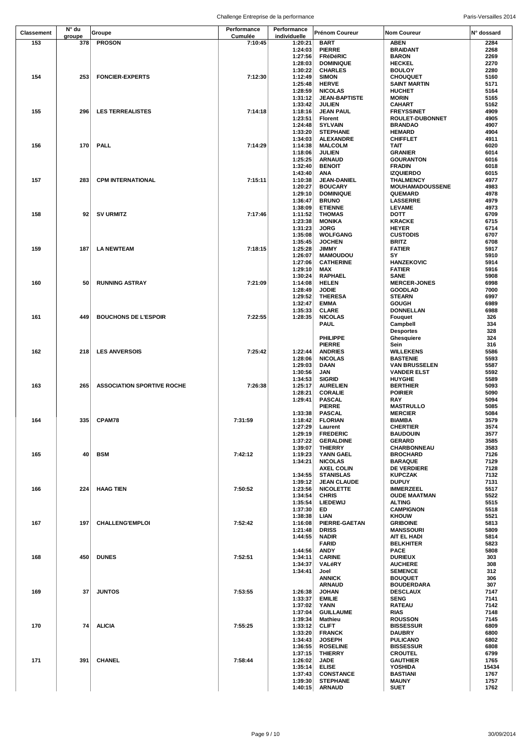|                   | N° du  |                                   | Performance | Performance        |                                        |                                      |              |
|-------------------|--------|-----------------------------------|-------------|--------------------|----------------------------------------|--------------------------------------|--------------|
| <b>Classement</b> | groupe | Groupe                            | Cumulée     | individuelle       | <b>Prénom Coureur</b>                  | <b>Nom Coureur</b>                   | N° dossard   |
| 153               | 378    | <b>PROSON</b>                     | 7:10:45     | 1:20:21            | <b>BART</b>                            | <b>ABEN</b>                          | 2284         |
|                   |        |                                   |             | 1:24:03<br>1:27:56 | <b>PIERRE</b><br><b>FRéDéRIC</b>       | <b>BRAIDANT</b><br><b>BARON</b>      | 2268<br>2269 |
|                   |        |                                   |             | 1:28:03            | <b>DOMINIQUE</b>                       | <b>HECKEL</b>                        | 2270         |
|                   |        |                                   |             | 1:30:22            | <b>CHARLES</b>                         | <b>BOULOY</b>                        | 2280         |
| 154               | 253    | <b>FONCIER-EXPERTS</b>            | 7:12:30     | 1:12:49            | <b>SIMON</b>                           | <b>CHOUQUET</b>                      | 5160         |
|                   |        |                                   |             | 1:25:48            | <b>HERVE</b>                           | <b>SAINT MARTIN</b>                  | 5171         |
|                   |        |                                   |             | 1:28:59            | <b>NICOLAS</b>                         | <b>HUCHET</b>                        | 5164         |
|                   |        |                                   |             | 1:31:12<br>1:33:42 | <b>JEAN-BAPTISTE</b><br><b>JULIEN</b>  | <b>MORIN</b><br><b>CAHART</b>        | 5165<br>5162 |
| 155               | 296    | <b>LES TERREALISTES</b>           | 7:14:18     | 1:18:16            | <b>JEAN PAUL</b>                       | <b>FREYSSINET</b>                    | 4909         |
|                   |        |                                   |             | 1:23:51            | <b>Florent</b>                         | <b>ROULET-DUBONNET</b>               | 4905         |
|                   |        |                                   |             | 1:24:48            | <b>SYLVAIN</b>                         | <b>BRANDAO</b>                       | 4907         |
|                   |        |                                   |             | 1:33:20            | <b>STEPHANE</b>                        | <b>HEMARD</b>                        | 4904         |
|                   |        |                                   |             | 1:34:03            | <b>ALEXANDRE</b>                       | <b>CHIFFLET</b>                      | 4911         |
| 156               | 170    | <b>PALL</b>                       | 7:14:29     | 1:14:38            | <b>MALCOLM</b>                         | TAIT                                 | 6020         |
|                   |        |                                   |             | 1:18:06<br>1:25:25 | <b>JULIEN</b><br><b>ARNAUD</b>         | <b>GRANIER</b><br><b>GOURANTON</b>   | 6014<br>6016 |
|                   |        |                                   |             | 1:32:40            | <b>BENOIT</b>                          | <b>FRADIN</b>                        | 6018         |
|                   |        |                                   |             | 1:43:40            | ANA                                    | <b>IZQUIERDO</b>                     | 6015         |
| 157               | 283    | <b>CPM INTERNATIONAL</b>          | 7:15:11     | 1:10:38            | <b>JEAN-DANIEL</b>                     | <b>THALMENCY</b>                     | 4977         |
|                   |        |                                   |             | 1:20:27            | <b>BOUCARY</b>                         | <b>MOUHAMADOUSSENE</b>               | 4983         |
|                   |        |                                   |             | 1:29:10            | <b>DOMINIQUE</b>                       | QUEMARD                              | 4978         |
|                   |        |                                   |             | 1:36:47            | <b>BRUNO</b>                           | <b>LASSERRE</b>                      | 4979         |
| 158               | 92     | <b>SV URMITZ</b>                  | 7:17:46     | 1:38:09<br>1:11:52 | <b>ETIENNE</b><br><b>THOMAS</b>        | <b>LEVAME</b><br><b>DOTT</b>         | 4973<br>6709 |
|                   |        |                                   |             | 1:23:38            | <b>MONIKA</b>                          | <b>KRACKE</b>                        | 6715         |
|                   |        |                                   |             | 1:31:23            | <b>JORG</b>                            | <b>HEYER</b>                         | 6714         |
|                   |        |                                   |             | 1:35:08            | <b>WOLFGANG</b>                        | <b>CUSTODIS</b>                      | 6707         |
|                   |        |                                   |             | 1:35:45            | <b>JOCHEN</b>                          | <b>BRITZ</b>                         | 6708         |
| 159               | 187    | <b>LA NEWTEAM</b>                 | 7:18:15     | 1:25:28            | <b>JIMMY</b>                           | <b>FATIER</b>                        | 5917         |
|                   |        |                                   |             | 1:26:07            | <b>MAMOUDOU</b>                        | SY.                                  | 5910         |
|                   |        |                                   |             | 1:27:06<br>1:29:10 | <b>CATHERINE</b><br>MAX                | <b>HANZEKOVIC</b><br><b>FATIER</b>   | 5914<br>5916 |
|                   |        |                                   |             | 1:30:24            | <b>RAPHAEL</b>                         | SANE                                 | 5908         |
| 160               | 50     | <b>RUNNING ASTRAY</b>             | 7:21:09     | 1:14:08            | <b>HELEN</b>                           | <b>MERCER-JONES</b>                  | 6998         |
|                   |        |                                   |             | 1:28:49            | <b>JODIE</b>                           | <b>GOODLAD</b>                       | 7000         |
|                   |        |                                   |             | 1:29:52            | <b>THERESA</b>                         | <b>STEARN</b>                        | 6997         |
|                   |        |                                   |             | 1:32:47            | <b>EMMA</b>                            | <b>GOUGH</b>                         | 6989         |
|                   |        |                                   |             | 1:35:33            | <b>CLARE</b>                           | <b>DONNELLAN</b>                     | 6988         |
| 161               | 449    | <b>BOUCHONS DE L'ESPOIR</b>       | 7:22:55     | 1:28:35            | <b>NICOLAS</b><br><b>PAUL</b>          | Fouquet<br>Campbell                  | 326<br>334   |
|                   |        |                                   |             |                    |                                        | <b>Desportes</b>                     | 328          |
|                   |        |                                   |             |                    | PHILIPPE                               | Ghesquiere                           | 324          |
|                   |        |                                   |             |                    | <b>PIERRE</b>                          | Sein                                 | 316          |
| 162               | 218    | <b>LES ANVERSOIS</b>              | 7:25:42     | 1:22:44            | <b>ANDRIES</b>                         | <b>WILLEKENS</b>                     | 5586         |
|                   |        |                                   |             | 1:28:06            | <b>NICOLAS</b>                         | <b>BASTENIE</b>                      | 5593         |
|                   |        |                                   |             | 1:29:03            | DAAN                                   | <b>VAN BRUSSELEN</b>                 | 5587         |
|                   |        |                                   |             | 1:30:56<br>1:34:53 | JAN<br><b>SIGRID</b>                   | <b>VANDER ELST</b><br><b>HUYGHE</b>  | 5592<br>5589 |
| 163               | 265    | <b>ASSOCIATION SPORTIVE ROCHE</b> | 7:26:38     | 1:25:17            | <b>AURELIEN</b>                        | <b>BERTHIER</b>                      | 5093         |
|                   |        |                                   |             | 1:28:21            | <b>CORALIE</b>                         | <b>POIRIER</b>                       | 5090         |
|                   |        |                                   |             | 1:29:41            | <b>PASCAL</b>                          | <b>RAY</b>                           | 5094         |
|                   |        |                                   |             |                    | <b>PIERRE</b>                          | <b>MASTRULLO</b>                     | 5085         |
|                   |        |                                   |             | 1:33:38            | <b>PASCAL</b>                          | <b>MERCIER</b>                       | 5084         |
| 164               | 335    | <b>CPAM78</b>                     | 7:31:59     | 1:18:42<br>1:27:29 | <b>FLORIAN</b><br>Laurent              | <b>BIAMBA</b>                        | 3579<br>3574 |
|                   |        |                                   |             | 1:29:19            | <b>FREDERIC</b>                        | <b>CHERTIER</b><br><b>BAUDOUIN</b>   | 3577         |
|                   |        |                                   |             | 1:37:22            | <b>GERALDINE</b>                       | <b>GERARD</b>                        | 3585         |
|                   |        |                                   |             | 1:39:07            | <b>THIERRY</b>                         | CHARBONNEAU                          | 3583         |
| 165               | 40     | <b>BSM</b>                        | 7:42:12     | 1:19:23            | YANN GAEL                              | <b>BROCHARD</b>                      | 7126         |
|                   |        |                                   |             | 1:34:21            | <b>NICOLAS</b>                         | <b>BARAQUE</b>                       | 7129         |
|                   |        |                                   |             |                    | <b>AXEL COLIN</b>                      | <b>DE VERDIERE</b>                   | 7128         |
|                   |        |                                   |             | 1:34:55<br>1:39:12 | <b>STANISLAS</b><br><b>JEAN CLAUDE</b> | <b>KUPCZAK</b><br><b>DUPUY</b>       | 7132<br>7131 |
| 166               | 224    | <b>HAAG TIEN</b>                  | 7:50:52     | 1:23:56            | <b>NICOLETTE</b>                       | <b>IMMERZEEL</b>                     | 5517         |
|                   |        |                                   |             | 1:34:54            | <b>CHRIS</b>                           | <b>OUDE MAATMAN</b>                  | 5522         |
|                   |        |                                   |             | 1:35:54            | LIEDEWIJ                               | <b>ALTING</b>                        | 5515         |
|                   |        |                                   |             | 1:37:30            | ED                                     | <b>CAMPIGNON</b>                     | 5518         |
|                   |        |                                   |             | 1:38:38            | LIAN                                   | <b>KHOUW</b>                         | 5521         |
| 167               | 197    | <b>CHALLENG'EMPLOI</b>            | 7:52:42     | 1:16:08            | PIERRE-GAETAN                          | <b>GRIBOINE</b>                      | 5813         |
|                   |        |                                   |             | 1:21:48<br>1:44:55 | <b>DRISS</b><br><b>NADIR</b>           | <b>MANSSOURI</b><br>AIT EL HADI      | 5809<br>5814 |
|                   |        |                                   |             |                    | <b>FARID</b>                           | <b>BELKHITER</b>                     | 5823         |
|                   |        |                                   |             | 1:44:56            | <b>ANDY</b>                            | <b>PACE</b>                          | 5808         |
| 168               | 450    | <b>DUNES</b>                      | 7:52:51     | 1:34:11            | <b>CARINE</b>                          | <b>DURIEUX</b>                       | 303          |
|                   |        |                                   |             | 1:34:37            | VALéRY                                 | <b>AUCHERE</b>                       | 308          |
|                   |        |                                   |             | 1:34:41            | Joel                                   | <b>SEMENCE</b>                       | 312          |
|                   |        |                                   |             |                    | <b>ANNICK</b>                          | <b>BOUQUET</b>                       | 306          |
| 169               | 37     | <b>JUNTOS</b>                     | 7:53:55     | 1:26:38            | <b>ARNAUD</b><br><b>JOHAN</b>          | <b>BOUDERDARA</b><br><b>DESCLAUX</b> | 307<br>7147  |
|                   |        |                                   |             | 1:33:37            | <b>EMILIE</b>                          | <b>SENG</b>                          | 7141         |
|                   |        |                                   |             | 1:37:02            | <b>YANN</b>                            | <b>RATEAU</b>                        | 7142         |
|                   |        |                                   |             | 1:37:04            | <b>GUILLAUME</b>                       | <b>RIAS</b>                          | 7148         |
|                   |        |                                   |             | 1:39:34            | Mathieu                                | <b>ROUSSON</b>                       | 7145         |
| 170               | 74     | <b>ALICIA</b>                     | 7:55:25     | 1:33:12            | <b>CLIFT</b>                           | <b>BISSESSUR</b>                     | 6809         |
|                   |        |                                   |             | 1:33:20<br>1:34:43 | <b>FRANCK</b><br><b>JOSEPH</b>         | <b>DAUBRY</b><br><b>PULICANO</b>     | 6800<br>6802 |
|                   |        |                                   |             | 1:36:55            | <b>ROSELINE</b>                        | <b>BISSESSUR</b>                     | 6808         |
|                   |        |                                   |             | 1:37:15            | <b>THIERRY</b>                         | <b>CROUTEL</b>                       | 6799         |
| 171               | 391    | CHANEL                            | 7:58:44     | 1:26:02            | <b>JADE</b>                            | <b>GAUTHIER</b>                      | 1765         |
|                   |        |                                   |             | 1:35:14            | <b>ELISE</b>                           | YOSHIDA                              | 15434        |
|                   |        |                                   |             | 1:37:43            | <b>CONSTANCE</b>                       | <b>BASTIANI</b>                      | 1767         |
|                   |        |                                   |             | 1:39:30            | <b>STEPHANE</b>                        | <b>MAUNY</b>                         | 1757         |
|                   |        |                                   |             | 1:40:15            | <b>ARNAUD</b>                          | <b>SUET</b>                          | 1762         |